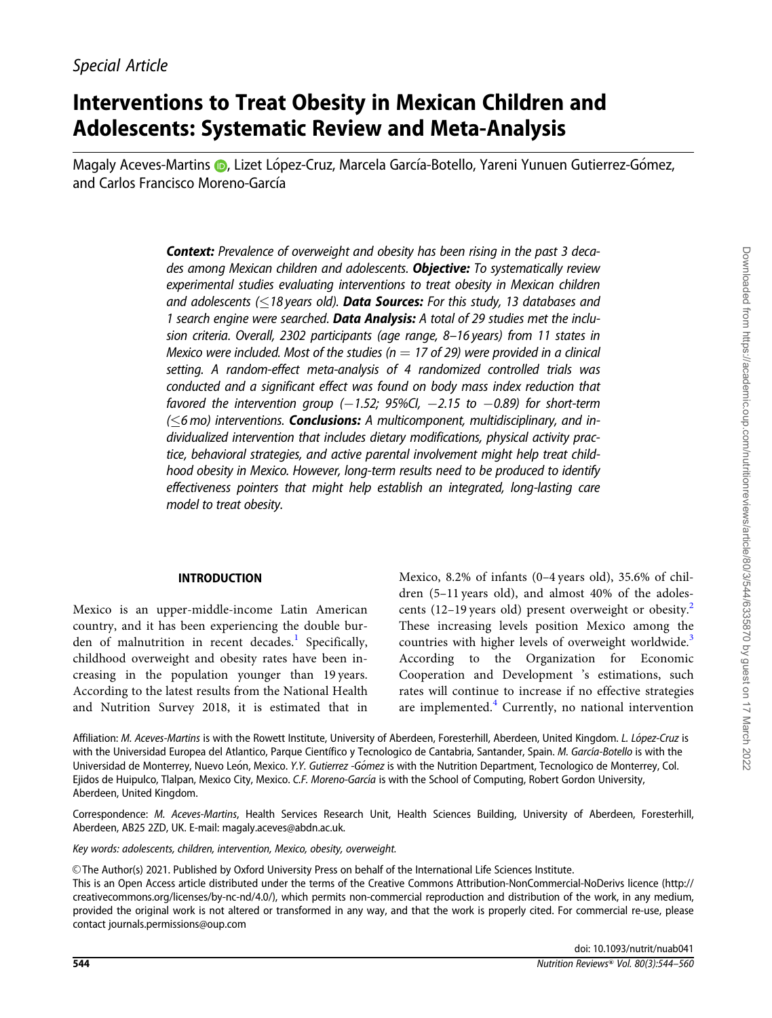## Interventions to Treat Obesity in Mexican Children and Adolescents: Systematic Review and Meta-Analysis

Magaly Aceves-Martins D[,](https://orcid.org/0000-0002-9441-142X) Lizet López-Cruz, Marcela García-Botello, Yareni Yunuen Gutierrez-Gómez, and Carlos Francisco Moreno-García

> **Context:** Prevalence of overweight and obesity has been rising in the past 3 decades among Mexican children and adolescents. Objective: To systematically review experimental studies evaluating interventions to treat obesity in Mexican children and adolescents ( $\leq$ 18 years old). **Data Sources:** For this study, 13 databases and 1 search engine were searched. Data Analysis: A total of 29 studies met the inclusion criteria. Overall, 2302 participants (age range, 8–16 years) from 11 states in Mexico were included. Most of the studies ( $n = 17$  of 29) were provided in a clinical setting. A random-effect meta-analysis of 4 randomized controlled trials was conducted and a significant effect was found on body mass index reduction that favored the intervention group  $(-1.52; 95\%$ CI,  $-2.15$  to  $-0.89$ ) for short-term  $(\leq$ 6 mo) interventions. Conclusions: A multicomponent, multidisciplinary, and individualized intervention that includes dietary modifications, physical activity practice, behavioral strategies, and active parental involvement might help treat childhood obesity in Mexico. However, long-term results need to be produced to identify effectiveness pointers that might help establish an integrated, long-lasting care model to treat obesity.

#### INTRODUCTION

Mexico is an upper-middle-income Latin American country, and it has been experiencing the double bur-den of malnutrition in recent decades.<sup>[1](#page-15-0)</sup> Specifically, childhood overweight and obesity rates have been increasing in the population younger than 19 years. According to the latest results from the National Health and Nutrition Survey 2018, it is estimated that in Mexico, 8.2% of infants (0–4 years old), 35.6% of children (5–11 years old), and almost 40% of the adolescents (12–19 years old) present overweight or obesity.<sup>2</sup> These increasing levels position Mexico among the countries with higher levels of overweight worldwide.<sup>[3](#page-15-0)</sup> According to the Organization for Economic Cooperation and Development 's estimations, such rates will continue to increase if no effective strategies are implemented. $4$  Currently, no national intervention

Affiliation: M. Aceves-Martins is with the Rowett Institute, University of Aberdeen, Foresterhill, Aberdeen, United Kingdom. L. López-Cruz is with the Universidad Europea del Atlantico, Parque Científico y Tecnologico de Cantabria, Santander, Spain. M. García-Botello is with the Universidad de Monterrey, Nuevo León, Mexico. Y.Y. Gutierrez -Gómez is with the Nutrition Department, Tecnologico de Monterrey, Col. Ejidos de Huipulco, Tlalpan, Mexico City, Mexico. C.F. Moreno-García is with the School of Computing, Robert Gordon University, Aberdeen, United Kingdom.

Correspondence: M. Aceves-Martins, Health Services Research Unit, Health Sciences Building, University of Aberdeen, Foresterhill, Aberdeen, AB25 2ZD, UK. E-mail: magaly.aceves@abdn.ac.uk.

Key words: adolescents, children, intervention, Mexico, obesity, overweight.

V<sup>C</sup> The Author(s) 2021. Published by Oxford University Press on behalf of the International Life Sciences Institute.

This is an Open Access article distributed under the terms of the Creative Commons Attribution-NonCommercial-NoDerivs licence (http:// creativecommons.org/licenses/by-nc-nd/4.0/), which permits non-commercial reproduction and distribution of the work, in any medium, provided the original work is not altered or transformed in any way, and that the work is properly cited. For commercial re-use, please contact journals.permissions@oup.com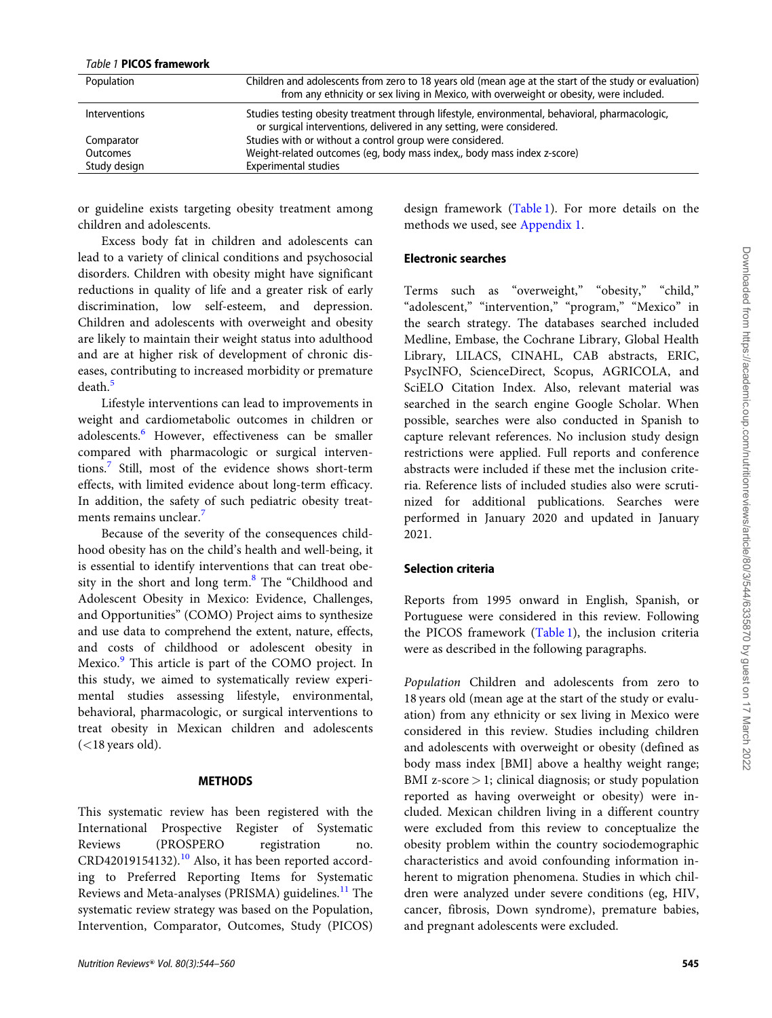#### Table 1 PICOS framework

| Population      | Children and adolescents from zero to 18 years old (mean age at the start of the study or evaluation)                                                                   |
|-----------------|-------------------------------------------------------------------------------------------------------------------------------------------------------------------------|
|                 | from any ethnicity or sex living in Mexico, with overweight or obesity, were included.                                                                                  |
| Interventions   | Studies testing obesity treatment through lifestyle, environmental, behavioral, pharmacologic,<br>or surgical interventions, delivered in any setting, were considered. |
| Comparator      | Studies with or without a control group were considered.                                                                                                                |
| <b>Outcomes</b> | Weight-related outcomes (eq. body mass index., body mass index z-score)                                                                                                 |
| Study design    | <b>Experimental studies</b>                                                                                                                                             |

or guideline exists targeting obesity treatment among children and adolescents.

Excess body fat in children and adolescents can lead to a variety of clinical conditions and psychosocial disorders. Children with obesity might have significant reductions in quality of life and a greater risk of early discrimination, low self-esteem, and depression. Children and adolescents with overweight and obesity are likely to maintain their weight status into adulthood and are at higher risk of development of chronic diseases, contributing to increased morbidity or premature death.<sup>[5](#page-15-0)</sup>

Lifestyle interventions can lead to improvements in weight and cardiometabolic outcomes in children or adolescents.<sup>[6](#page-15-0)</sup> However, effectiveness can be smaller compared with pharmacologic or surgical interventions.[7](#page-15-0) Still, most of the evidence shows short-term effects, with limited evidence about long-term efficacy. In addition, the safety of such pediatric obesity treat-ments remains unclear.<sup>[7](#page-15-0)</sup>

Because of the severity of the consequences childhood obesity has on the child's health and well-being, it is essential to identify interventions that can treat obesity in the short and long term.<sup>8</sup> The "Childhood and Adolescent Obesity in Mexico: Evidence, Challenges, and Opportunities" (COMO) Project aims to synthesize and use data to comprehend the extent, nature, effects, and costs of childhood or adolescent obesity in Mexico.<sup>[9](#page-15-0)</sup> This article is part of the COMO project. In this study, we aimed to systematically review experimental studies assessing lifestyle, environmental, behavioral, pharmacologic, or surgical interventions to treat obesity in Mexican children and adolescents  $(<$ 18 years old).

#### **METHODS**

This systematic review has been registered with the International Prospective Register of Systematic Reviews (PROSPERO registration no. CRD42019154132).<sup>[10](#page-15-0)</sup> Also, it has been reported according to Preferred Reporting Items for Systematic Reviews and Meta-analyses (PRISMA) guidelines.<sup>[11](#page-15-0)</sup> The systematic review strategy was based on the Population, Intervention, Comparator, Outcomes, Study (PICOS)

 $N$ utrition Reviews® Vol. 80(3):544–560  $\overline{\phantom{0}}$  545

design framework (Table 1). For more details on the methods we used, see Appendix 1.

### Electronic searches

Terms such as "overweight," "obesity," "child," "adolescent," "intervention," "program," "Mexico" in the search strategy. The databases searched included Medline, Embase, the Cochrane Library, Global Health Library, LILACS, CINAHL, CAB abstracts, ERIC, PsycINFO, ScienceDirect, Scopus, AGRICOLA, and SciELO Citation Index. Also, relevant material was searched in the search engine Google Scholar. When possible, searches were also conducted in Spanish to capture relevant references. No inclusion study design restrictions were applied. Full reports and conference abstracts were included if these met the inclusion criteria. Reference lists of included studies also were scrutinized for additional publications. Searches were performed in January 2020 and updated in January 2021.

#### Selection criteria

Reports from 1995 onward in English, Spanish, or Portuguese were considered in this review. Following the PICOS framework (Table 1), the inclusion criteria were as described in the following paragraphs.

Population Children and adolescents from zero to 18 years old (mean age at the start of the study or evaluation) from any ethnicity or sex living in Mexico were considered in this review. Studies including children and adolescents with overweight or obesity (defined as body mass index [BMI] above a healthy weight range; BMI z-score  $> 1$ ; clinical diagnosis; or study population reported as having overweight or obesity) were included. Mexican children living in a different country were excluded from this review to conceptualize the obesity problem within the country sociodemographic characteristics and avoid confounding information inherent to migration phenomena. Studies in which children were analyzed under severe conditions (eg, HIV, cancer, fibrosis, Down syndrome), premature babies, and pregnant adolescents were excluded.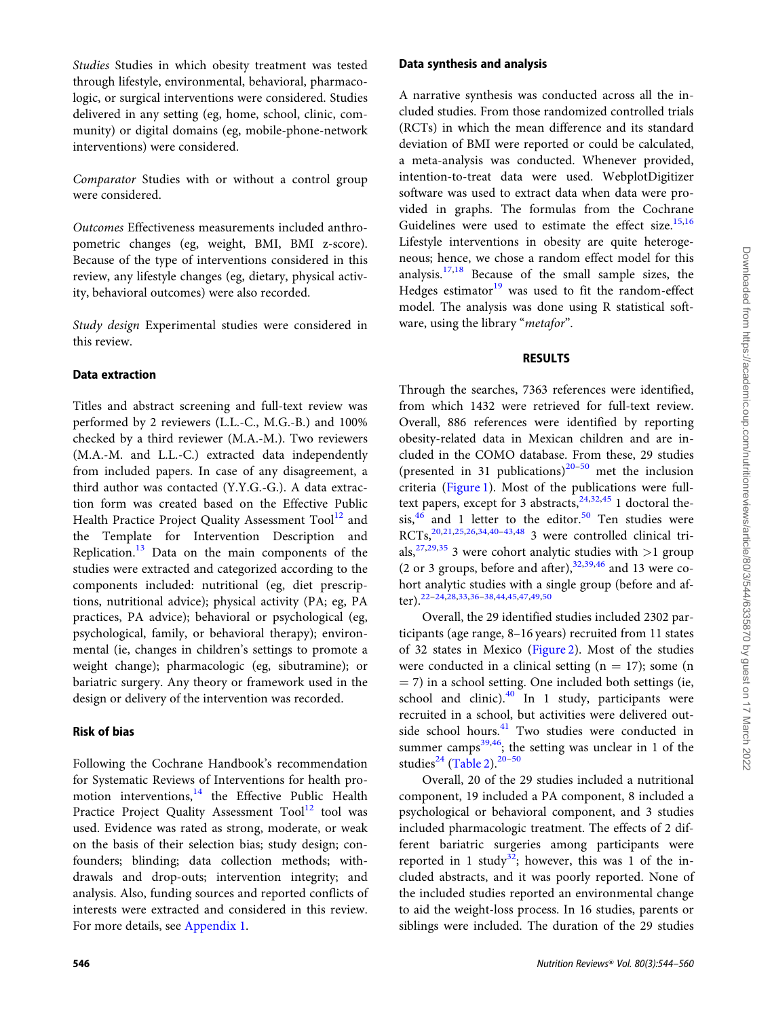Studies Studies in which obesity treatment was tested through lifestyle, environmental, behavioral, pharmacologic, or surgical interventions were considered. Studies delivered in any setting (eg, home, school, clinic, community) or digital domains (eg, mobile-phone-network interventions) were considered.

Comparator Studies with or without a control group were considered.

Outcomes Effectiveness measurements included anthropometric changes (eg, weight, BMI, BMI z-score). Because of the type of interventions considered in this review, any lifestyle changes (eg, dietary, physical activity, behavioral outcomes) were also recorded.

Study design Experimental studies were considered in this review.

#### Data extraction

Titles and abstract screening and full-text review was performed by 2 reviewers (L.L.-C., M.G.-B.) and 100% checked by a third reviewer (M.A.-M.). Two reviewers (M.A.-M. and L.L.-C.) extracted data independently from included papers. In case of any disagreement, a third author was contacted (Y.Y.G.-G.). A data extraction form was created based on the Effective Public Health Practice Project Quality Assessment Tool<sup>[12](#page-15-0)</sup> and the Template for Intervention Description and Replication. $13$  Data on the main components of the studies were extracted and categorized according to the components included: nutritional (eg, diet prescriptions, nutritional advice); physical activity (PA; eg, PA practices, PA advice); behavioral or psychological (eg, psychological, family, or behavioral therapy); environmental (ie, changes in children's settings to promote a weight change); pharmacologic (eg, sibutramine); or bariatric surgery. Any theory or framework used in the design or delivery of the intervention was recorded.

#### Risk of bias

Following the Cochrane Handbook's recommendation for Systematic Reviews of Interventions for health promotion interventions, $14$  the Effective Public Health Practice Project Quality Assessment Tool<sup>[12](#page-15-0)</sup> tool was used. Evidence was rated as strong, moderate, or weak on the basis of their selection bias; study design; confounders; blinding; data collection methods; withdrawals and drop-outs; intervention integrity; and analysis. Also, funding sources and reported conflicts of interests were extracted and considered in this review. For more details, see Appendix 1.

#### Data synthesis and analysis

A narrative synthesis was conducted across all the included studies. From those randomized controlled trials (RCTs) in which the mean difference and its standard deviation of BMI were reported or could be calculated, a meta-analysis was conducted. Whenever provided, intention-to-treat data were used. WebplotDigitizer software was used to extract data when data were provided in graphs. The formulas from the Cochrane Guidelines were used to estimate the effect size.<sup>[15,16](#page-15-0)</sup> Lifestyle interventions in obesity are quite heterogeneous; hence, we chose a random effect model for this analysis. $17,18$  Because of the small sample sizes, the Hedges estimator $19$  was used to fit the random-effect model. The analysis was done using R statistical software, using the library "metafor".

#### RESULTS

Through the searches, 7363 references were identified, from which 1432 were retrieved for full-text review. Overall, 886 references were identified by reporting obesity-related data in Mexican children and are included in the COMO database. From these, 29 studies (presented in 31 publications)<sup>[20](#page-15-0)[–50](#page-16-0)</sup> met the inclusion criteria [\(Figure 1\)](#page-3-0). Most of the publications were fulltext papers, except for 3 abstracts,  $24,32,45$  $24,32,45$  1 doctoral the $sis<sub>16</sub>$  and 1 letter to the editor.<sup>[50](#page-16-0)</sup> Ten studies were RCTs,[20](#page-15-0),[21](#page-15-0),[25,26,34,40–43,](#page-15-0)[48](#page-16-0) 3 were controlled clinical trials,  $27,29,35$  3 were cohort analytic studies with  $>1$  group (2 or 3 groups, before and after),  $32,39,46$  $32,39,46$  and 13 were cohort analytic studies with a single group (before and after).[22–24](#page-15-0),[28,33,36–38,](#page-15-0)[44,45,47,49,50](#page-16-0)

Overall, the 29 identified studies included 2302 participants (age range, 8–16 years) recruited from 11 states of 32 states in Mexico [\(Figure 2\)](#page-4-0). Most of the studies were conducted in a clinical setting  $(n = 17)$ ; some  $(n = 17)$  $=$  7) in a school setting. One included both settings (ie, school and clinic). $40$  In 1 study, participants were recruited in a school, but activities were delivered out-side school hours.<sup>[41](#page-15-0)</sup> Two studies were conducted in summer camps<sup>[39,](#page-15-0)46</sup>; the setting was unclear in 1 of the studies<sup>[24](#page-15-0)</sup> [\(Table 2\)](#page-5-0).<sup>20-[50](#page-16-0)</sup>

Overall, 20 of the 29 studies included a nutritional component, 19 included a PA component, 8 included a psychological or behavioral component, and 3 studies included pharmacologic treatment. The effects of 2 different bariatric surgeries among participants were reported in 1 study<sup>[32](#page-15-0)</sup>; however, this was 1 of the included abstracts, and it was poorly reported. None of the included studies reported an environmental change to aid the weight-loss process. In 16 studies, parents or siblings were included. The duration of the 29 studies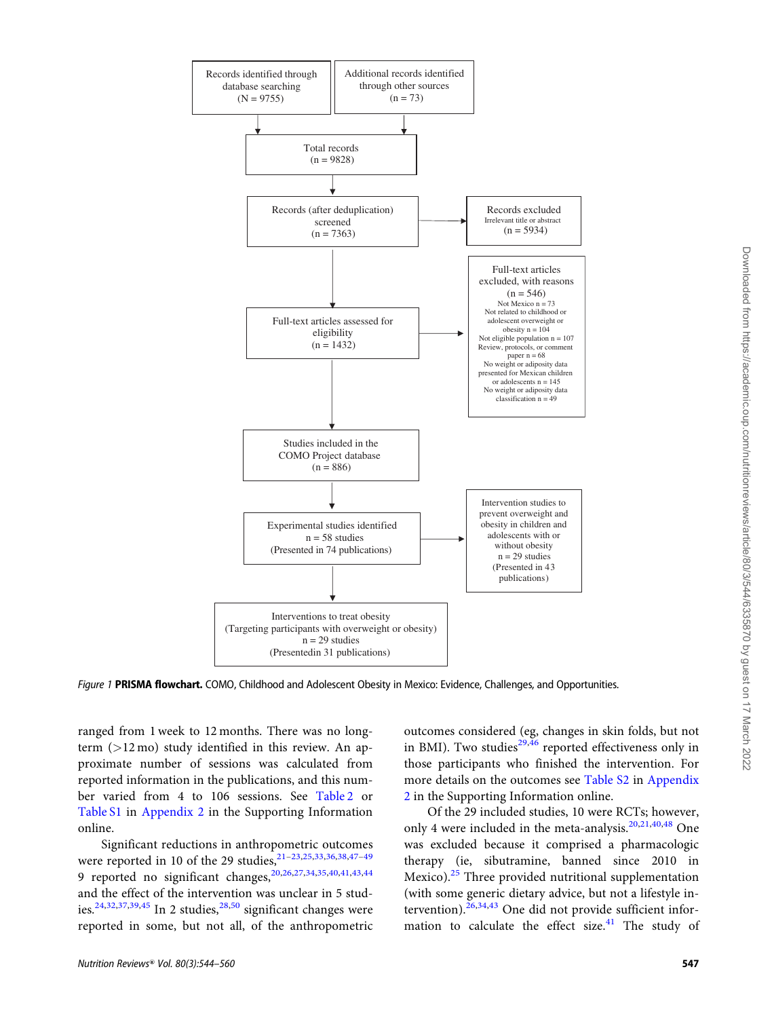<span id="page-3-0"></span>

Figure 1 PRISMA flowchart. COMO, Childhood and Adolescent Obesity in Mexico: Evidence, Challenges, and Opportunities.

ranged from 1 week to 12 months. There was no longterm  $(>12 \text{ mo})$  study identified in this review. An approximate number of sessions was calculated from reported information in the publications, and this number varied from 4 to 106 sessions. See [Table 2](#page-5-0) or [Table S1](https://academic.oup.com/nutritionreviews/article-lookup/doi/10.1093/nutrit/nuab040#supplementary-data) in Appendix 2 in the Supporting Information online.

Significant reductions in anthropometric outcomes were reported in 10 of the 29 studies,<sup>21-23,[25](#page-15-0),[33](#page-15-0),[36,38,](#page-15-0)47-49</sup> 9 reported no significant changes, 20,26,27,34,35,[40](#page-15-0),[41](#page-15-0),[43](#page-15-0),[44](#page-16-0) and the effect of the intervention was unclear in 5 stud-ies.<sup>[24](#page-15-0),[32](#page-15-0),[37,39,](#page-15-0)[45](#page-16-0)</sup> In 2 studies,<sup>[28,](#page-15-0)[50](#page-16-0)</sup> significant changes were reported in some, but not all, of the anthropometric

outcomes considered (eg, changes in skin folds, but not in BMI). Two studies $^{29,46}$  $^{29,46}$  $^{29,46}$  $^{29,46}$  reported effectiveness only in those participants who finished the intervention. For more details on the outcomes see [Table S2](https://academic.oup.com/nutritionreviews/article-lookup/doi/10.1093/nutrit/nuab040#supplementary-data) in Appendix 2 in the Supporting Information online.

Of the 29 included studies, 10 were RCTs; however, only 4 were included in the meta-analysis.<sup>[20,21,40](#page-15-0)[,48](#page-16-0)</sup> One was excluded because it comprised a pharmacologic therapy (ie, sibutramine, banned since 2010 in Mexico).[25](#page-15-0) Three provided nutritional supplementation (with some generic dietary advice, but not a lifestyle in-tervention).<sup>[26,34,43](#page-15-0)</sup> One did not provide sufficient information to calculate the effect size. $41$  The study of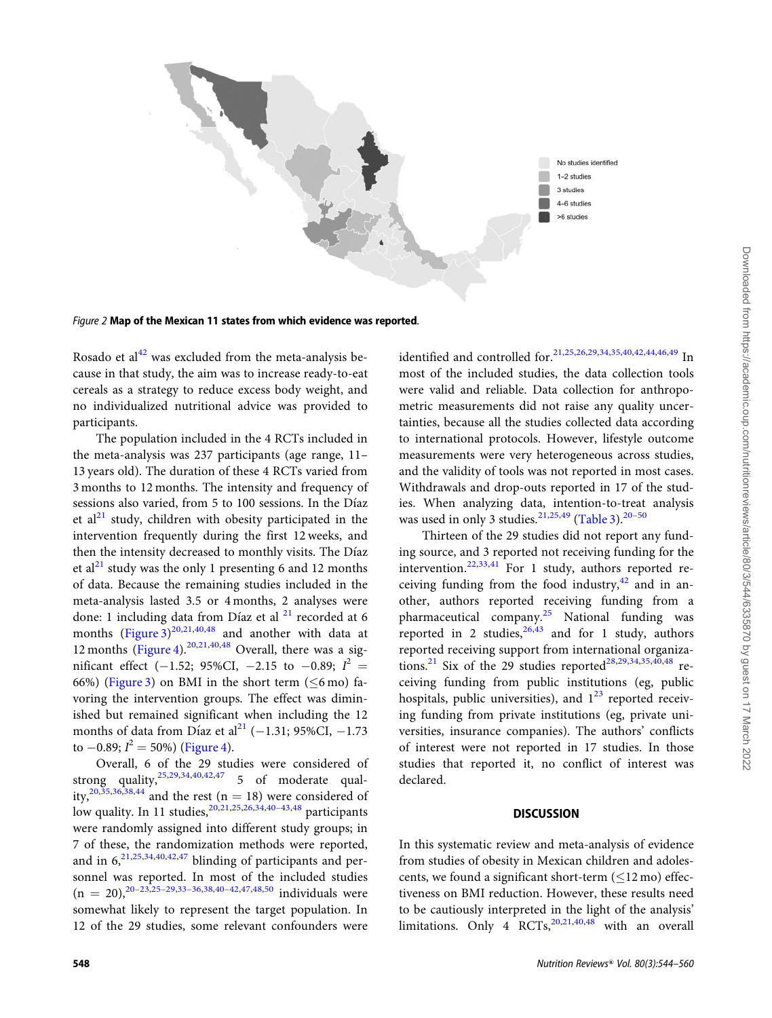<span id="page-4-0"></span>



Rosado et al $^{42}$  $^{42}$  $^{42}$  was excluded from the meta-analysis because in that study, the aim was to increase ready-to-eat cereals as a strategy to reduce excess body weight, and no individualized nutritional advice was provided to participants.

The population included in the 4 RCTs included in the meta-analysis was 237 participants (age range, 11– 13 years old). The duration of these 4 RCTs varied from 3 months to 12 months. The intensity and frequency of sessions also varied, from 5 to 100 sessions. In the Díaz et al<sup>[21](#page-15-0)</sup> study, children with obesity participated in the intervention frequently during the first 12 weeks, and then the intensity decreased to monthly visits. The Díaz et al<sup>[21](#page-15-0)</sup> study was the only 1 presenting 6 and 12 months of data. Because the remaining studies included in the meta-analysis lasted 3.5 or 4 months, 2 analyses were done: 1 including data from Díaz et al <sup>[21](#page-15-0)</sup> recorded at 6 months (Figure  $3)^{20,21,40,48}$  $3)^{20,21,40,48}$  $3)^{20,21,40,48}$  $3)^{20,21,40,48}$  $3)^{20,21,40,48}$  $3)^{20,21,40,48}$  and another with data at 12 months [\(Figure 4\)](#page-11-0).<sup>[20,21,40](#page-15-0)[,48](#page-16-0)</sup> Overall, there was a significant effect (-1.52; 95%CI, -2.15 to -0.89;  $I^2 =$ 66%) ([Figure 3](#page-11-0)) on BMI in the short term ( $\leq$ 6 mo) favoring the intervention groups. The effect was diminished but remained significant when including the 12 months of data from Díaz et al $^{21}$  $^{21}$  $^{21}$  (-1.31; 95%CI, -1.73 to  $-0.89; I^2 = 50\%)$  [\(Figure 4\)](#page-11-0).

Overall, 6 of the 29 studies were considered of strong quality,  $25,29,34,40,42,47$  $25,29,34,40,42,47$  $25,29,34,40,42,47$  $25,29,34,40,42,47$  $25,29,34,40,42,47$  $25,29,34,40,42,47$  $25,29,34,40,42,47$  $25,29,34,40,42,47$  5 of moderate qual-ity,<sup>[20,35,36,38,](#page-15-0)[44](#page-16-0)</sup> and the rest (n = 18) were considered of low quality. In 11 studies,<sup>[20,21,25,26,34,40–43](#page-15-0)[,48](#page-16-0)</sup> participants were randomly assigned into different study groups; in 7 of these, the randomization methods were reported, and in  $6, ^{21,25,34,40,42,47}$  $6, ^{21,25,34,40,42,47}$  $6, ^{21,25,34,40,42,47}$  $6, ^{21,25,34,40,42,47}$  $6, ^{21,25,34,40,42,47}$  $6, ^{21,25,34,40,42,47}$  $6, ^{21,25,34,40,42,47}$  $6, ^{21,25,34,40,42,47}$  $6, ^{21,25,34,40,42,47}$  $6, ^{21,25,34,40,42,47}$  blinding of participants and personnel was reported. In most of the included studies  $(n = 20),^{20-23,25-29,33-36,38,40-42,47,48,50}$  $(n = 20),^{20-23,25-29,33-36,38,40-42,47,48,50}$  $(n = 20),^{20-23,25-29,33-36,38,40-42,47,48,50}$  individuals were somewhat likely to represent the target population. In 12 of the 29 studies, some relevant confounders were

identified and controlled for.[21,25,26,29,34,35,40](#page-15-0),[42](#page-15-0),[44](#page-16-0),[46,49](#page-16-0) In most of the included studies, the data collection tools were valid and reliable. Data collection for anthropometric measurements did not raise any quality uncertainties, because all the studies collected data according to international protocols. However, lifestyle outcome measurements were very heterogeneous across studies, and the validity of tools was not reported in most cases. Withdrawals and drop-outs reported in 17 of the studies. When analyzing data, intention-to-treat analysis was used in only 3 studies.<sup>[21](#page-15-0),[25](#page-15-0),[49](#page-16-0)</sup> ([Table 3\)](#page-12-0).<sup>20-[50](#page-16-0)</sup>

Thirteen of the 29 studies did not report any funding source, and 3 reported not receiving funding for the intervention.<sup>22,33,41</sup> For 1 study, authors reported receiving funding from the food industry, $42$  and in another, authors reported receiving funding from a pharmaceutical company.<sup>[25](#page-15-0)</sup> National funding was reported in 2 studies,  $26,43$  and for 1 study, authors reported receiving support from international organiza-tions.<sup>[21](#page-15-0)</sup> Six of the 29 studies reported<sup>[28,29,34,35,40](#page-15-0),[48](#page-16-0)</sup> receiving funding from public institutions (eg, public hospitals, public universities), and  $1^{23}$  $1^{23}$  $1^{23}$  reported receiving funding from private institutions (eg, private universities, insurance companies). The authors' conflicts of interest were not reported in 17 studies. In those studies that reported it, no conflict of interest was declared.

#### **DISCUSSION**

In this systematic review and meta-analysis of evidence from studies of obesity in Mexican children and adolescents, we found a significant short-term  $(\leq$ 12 mo) effectiveness on BMI reduction. However, these results need to be cautiously interpreted in the light of the analysis' limitations. Only  $4 \arccos \left( \frac{20,21,40,48}{20,21,40,48} \right)$  $4 \arccos \left( \frac{20,21,40,48}{20,21,40,48} \right)$  $4 \arccos \left( \frac{20,21,40,48}{20,21,40,48} \right)$  $4 \arccos \left( \frac{20,21,40,48}{20,21,40,48} \right)$  $4 \arccos \left( \frac{20,21,40,48}{20,21,40,48} \right)$  $4 \arccos \left( \frac{20,21,40,48}{20,21,40,48} \right)$  with an overall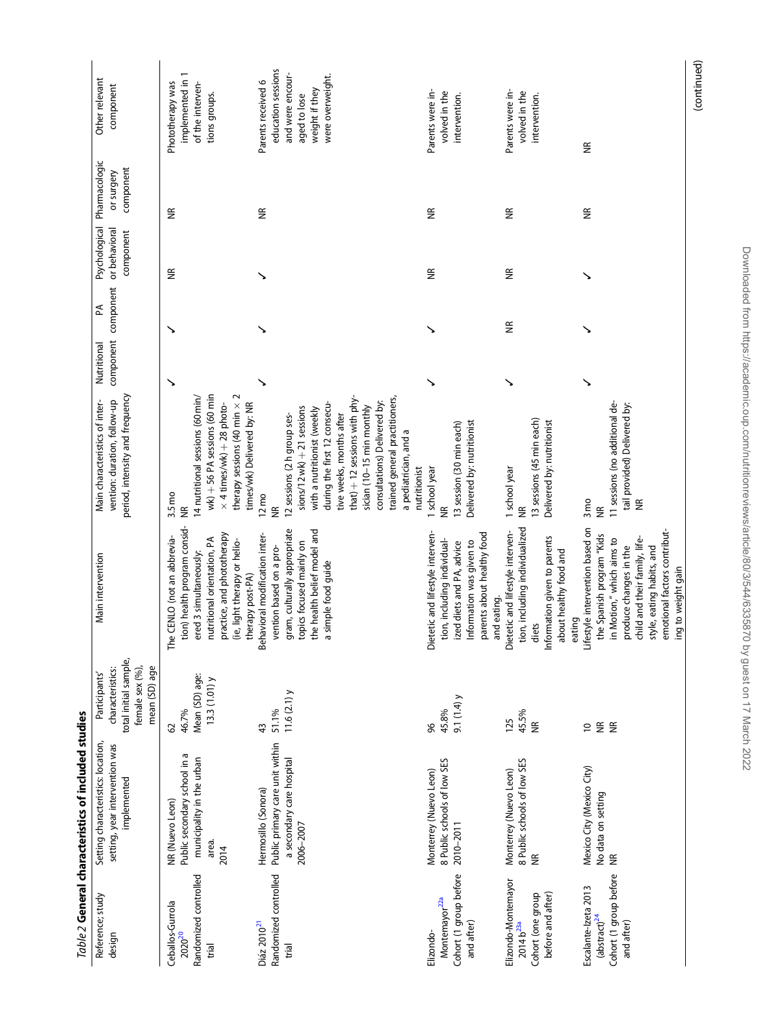<span id="page-5-0"></span>

|                                                                                          | Table 2 General characteristics of included studies                                              |                                                                                               |                                                                                                                                                                                                                                         |                                                                                                                                                                                                                                                                                                                                                        |             |                                     |                                             |                                          |                                                                                                                    |
|------------------------------------------------------------------------------------------|--------------------------------------------------------------------------------------------------|-----------------------------------------------------------------------------------------------|-----------------------------------------------------------------------------------------------------------------------------------------------------------------------------------------------------------------------------------------|--------------------------------------------------------------------------------------------------------------------------------------------------------------------------------------------------------------------------------------------------------------------------------------------------------------------------------------------------------|-------------|-------------------------------------|---------------------------------------------|------------------------------------------|--------------------------------------------------------------------------------------------------------------------|
| Reference; study<br>design                                                               | Setting characteristics: location,<br>setting, year intervention was<br>implemented              | total initial sample,<br>female sex (%),<br>mean (SD) age<br>characteristics:<br>Participants | Main intervention                                                                                                                                                                                                                       | period, intensity and frequency<br>vention: duration, follow-up<br>Main characteristics of inter-                                                                                                                                                                                                                                                      | Nutritional | component component<br>$\mathbb{A}$ | Psychological<br>or behavioral<br>component | Pharmacologic<br>component<br>or surgery | Other relevant<br>component                                                                                        |
| Randomized controlled<br>Ceballos-Gurrola<br>2020 <sup>20</sup><br>trial                 | Public secondary school in a<br>municipality in the urban<br>NR (Nuevo Leon)<br>area.<br>2014    | Mean (SD) age:<br>$13.3(1.01)$ y<br>46.7%<br>29                                               | tion) health program consid-<br>nutritional orientation, PA<br>practice, and phototherapy<br>(ie, light therapy or helio-<br>CENLO (not an abbrevia-<br>ered 3 simultaneously:<br>therapy post-PA)<br>The                               | $wk$ ) $+$ 56 PA sessions (60 min<br>therapy sessions (40 min $\times$ 2<br>14 nutritional sessions (60 min/<br>$\times$ 4 times/wk) + 28 photo-<br>times/wk) Delivered by: NR<br>3.5 mo<br>$\widetilde{\Xi}$                                                                                                                                          | ↘           | ↘                                   | $\widetilde{\Xi}$                           | $\widetilde{\Xi}$                        | implemented in 1<br>Phototherapy was<br>of the interven-<br>tions groups.                                          |
| Randomized controlled<br>Diáz 2010 <sup>21</sup><br>trial                                | Public primary care unit within<br>a secondary care hospital<br>Hermosillo (Sonora)<br>2006-2007 | 11.6 $(2.1)$ y<br>51.1%<br>43                                                                 | gram, culturally appropriate<br>topics focused mainly on<br>the health belief model and<br>Behavioral modification inter-<br>vention based on a pro-<br>simple food guide<br>ā                                                          | that) + 12 sessions with phy-<br>trained general practitioners,<br>consultations) Delivered by:<br>during the first 12 consecu-<br>sician (10-15 min monthly<br>$sions/12$ wk) $+21$ sessions<br>with a nutritionist (weekly<br>tive weeks, months after<br>12 sessions (2h group ses-<br>a pediatrician, and a<br>nutritionist<br>$12 \text{mo}$<br>¥ | ↘           |                                     |                                             | $\widetilde{\Xi}$                        | education sessions<br>and were encour-<br>were overweight.<br>Parents received 6<br>weight if they<br>aged to lose |
| Cohort (1 group before<br>Montemayor <sup>22a</sup><br>and after)<br>Elizondo-           | 8 Public schools of low SES<br>Monterrey (Nuevo Leon)<br>2010-2011                               | 9.1 $(1.4)$<br>45.8%<br>96                                                                    | Dietetic and lifestyle interven-<br>parents about healthy food<br>and eating.<br>tion, including individual-<br>Information was given to<br>ized diets and PA, advice                                                                   | Delivered by: nutritionist<br>13 session (30 min each)<br>1 school year<br>€                                                                                                                                                                                                                                                                           | ↘           |                                     | $\widetilde{\Xi}$                           | ⋚                                        | Parents were in-<br>volved in the<br>intervention.                                                                 |
| Elizondo-Montemayor<br>Cohort (one group<br>before and after)<br>$2014 b^{23a}$          | 8 Public schools of low SES<br>Monterrey (Nuevo Leon)<br>$\widetilde{\Xi}$                       | 45.5%<br>125<br>$\widetilde{\Xi}$                                                             | tion, including individualized<br>Dietetic and lifestyle interven-<br>Information given to parents<br>about healthy food and<br>eating<br>diets                                                                                         | 13 sessions (45 min each)<br>Delivered by: nutritionist<br>1 school year<br>$\widetilde{\Xi}$                                                                                                                                                                                                                                                          | ↘           | E                                   | $\widetilde{\Xi}$                           | $\widetilde{\Xi}$                        | Parents were in-<br>volved in the<br>intervention.                                                                 |
| Cohort (1 group before<br>Escalante-Izeta 2013<br>(abstract) <sup>24</sup><br>and after) | Mexico City (Mexico City)<br>No data on setting<br>$\widetilde{\Xi}$                             | $E \n\t\cong$<br>$\approx$                                                                    | Lifestyle intervention based on<br>emotional factors contribut-<br>ing to weight gain<br>the Spanish program "Kids<br>child and their family, life-<br>in Motion," which aims to<br>produce changes in the<br>style, eating habits, and | 11 sessions (no additional de-<br>tail provided) Delivered by:<br>3 <sub>mo</sub><br>$\widetilde{\Xi}$<br>€                                                                                                                                                                                                                                            | ↘           |                                     | ↘                                           | $\widetilde{\Xi}$                        | $\widetilde{\Xi}$                                                                                                  |
|                                                                                          |                                                                                                  |                                                                                               |                                                                                                                                                                                                                                         |                                                                                                                                                                                                                                                                                                                                                        |             |                                     |                                             |                                          | (continued)                                                                                                        |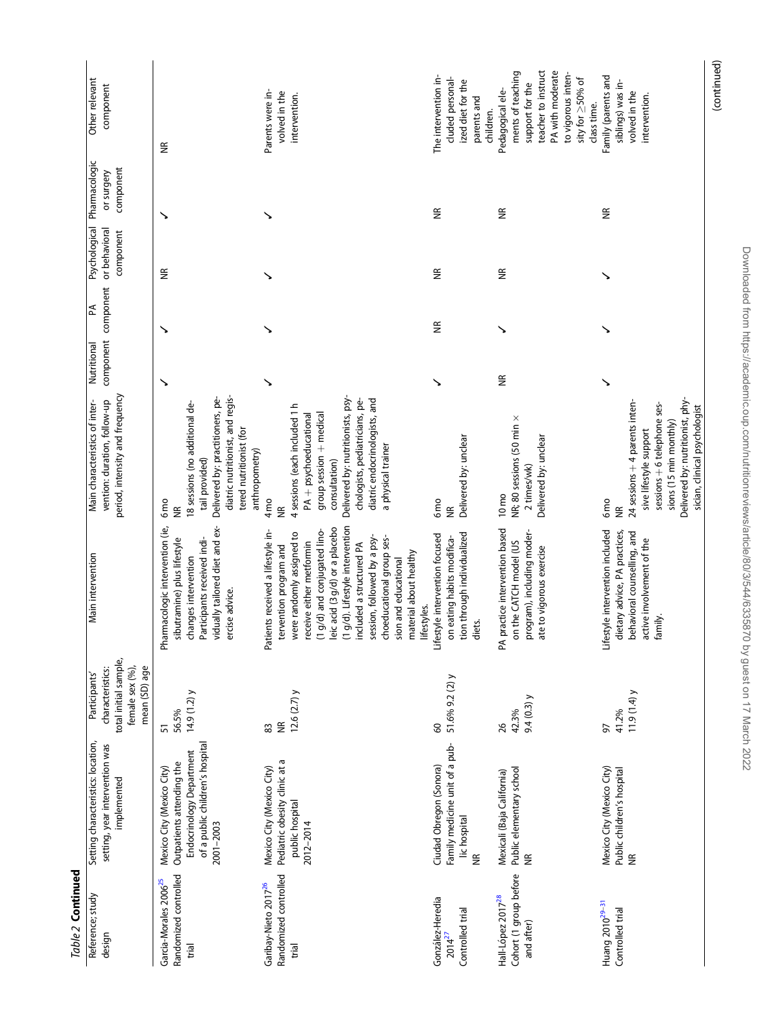| Table 2 Continued                                                     |                                                                                                                                    |                                                                                                |                                                                                                                                                                                                                                                                                                                                                                                                                                                                            |                                                                                                                                                                                                                                                                          |             |                                    |                                             |                                          |                                                                                                                                                                    |
|-----------------------------------------------------------------------|------------------------------------------------------------------------------------------------------------------------------------|------------------------------------------------------------------------------------------------|----------------------------------------------------------------------------------------------------------------------------------------------------------------------------------------------------------------------------------------------------------------------------------------------------------------------------------------------------------------------------------------------------------------------------------------------------------------------------|--------------------------------------------------------------------------------------------------------------------------------------------------------------------------------------------------------------------------------------------------------------------------|-------------|------------------------------------|---------------------------------------------|------------------------------------------|--------------------------------------------------------------------------------------------------------------------------------------------------------------------|
| Reference; study<br>design                                            | Setting characteristics: location,<br>setting, year intervention was<br>implemented                                                | total initial sample,<br>female sex (%),<br>mean (SD) age<br>characteristics:<br>Participants' | Main intervention                                                                                                                                                                                                                                                                                                                                                                                                                                                          | period, intensity and frequency<br>vention: duration, follow-up<br>Main characteristics of inter-                                                                                                                                                                        | Nutritional | component component<br>$\mathbb A$ | Psychological<br>or behavioral<br>component | Pharmacologic<br>component<br>or surgery | Other relevant<br>component                                                                                                                                        |
| Randomized controlled<br>Garcia-Morales 2006 <sup>25</sup><br>trial   | of a public children's hospital<br>Endocrinology Department<br>Outpatients attending the<br>Mexico City (Mexico City)<br>2001-2003 | 14.9 $(1.2)$ y<br>56.5%<br>51                                                                  | vidually tailored diet and ex-<br>Pharmacologic intervention (ie,<br>sibutramine) plus lifestyle<br>changes intervention<br>Participants received indi-<br>ercise advice.                                                                                                                                                                                                                                                                                                  | diatric nutritionist, and regis-<br>Delivered by: practitioners, pe-<br>18 sessions (no additional de-<br>tered nutritionist (for<br>anthropometry)<br>tail provided)<br>6 <sub>mo</sub><br>$\frac{1}{2}$                                                                | ↘           | ↘                                  | JK                                          | ↘                                        | £                                                                                                                                                                  |
| Randomized controlled<br>Garibay-Nieto 2017 <sup>26</sup><br>trial    | Pediatric obesity clinic at a<br>Mexico City (Mexico City)<br>public hospital<br>2012-2014                                         | 12.6 $(2.7)$ y<br>$\widetilde{\Xi}$<br>83                                                      | g/d). Lifestyle intervention<br>ic acid (3 g/d) or a placebo<br>g/d) and conjugated lino-<br>Patients received a lifestyle in-<br>were randomly assigned to<br>session, followed by a psy-<br>choeducational group ses-<br>receive either metformin<br>(1 g/d) and conjugated lino<br>leic acid (3 g/d) or a placeb<br>(1 g/d). Lifestyle intervent<br>included a structured PA<br>tervention program and<br>material about healthy<br>sion and educational<br>lifestyles. | Delivered by: nutritionists, psy-<br>diatric endocrinologists, and<br>chologists, pediatricians, pe-<br>4 sessions (each included 1h<br>group session + medical<br>PA + psychoeducational<br>a physical trainer<br>consultation)<br>4 <sub>mo</sub><br>$\widetilde{\Xi}$ | ↘           |                                    |                                             |                                          | Parents were in-<br>volved in the<br>intervention.                                                                                                                 |
| González-Heredia<br>Controlled trial<br>$2014^{27}$                   | Family medicine unit of a pub-<br>Ciudad Obregon (Sonora)<br>lic hospital<br>$\frac{\alpha}{\beta}$                                | 51.6% 9.2 (2) y<br>8                                                                           | tion through individualized<br>Lifestyle intervention focused<br>on eating habits modifica-<br>diets.                                                                                                                                                                                                                                                                                                                                                                      | Delivered by: unclear<br>6 <sub>mo</sub><br>$\widetilde{\Xi}$                                                                                                                                                                                                            | ↘           | E                                  | J                                           | ⋚                                        | The intervention in-<br>cluded personal-<br>ized diet for the<br>parents and<br>children.                                                                          |
| Cohort (1 group before<br>Hall-López 2017 <sup>28</sup><br>and after) | Public elementary school<br>Mexicali (Baja California)<br>$\frac{\alpha}{\beta}$                                                   | 9.4 $(0.3)$ y<br>42.3%<br>26                                                                   | PA practice intervention based<br>program), including moder-<br>ate to vigorous exercise<br>on the CATCH model (US                                                                                                                                                                                                                                                                                                                                                         | NR; 80 sessions (50 min x<br>Delivered by: unclear<br>2 times/wk)<br>$10 \, \text{mo}$                                                                                                                                                                                   | £           | ↘                                  | $\frac{\alpha}{\beta}$                      | $\widetilde{\Xi}$                        | teacher to instruct<br>ments of teaching<br>PA with moderate<br>to vigorous inten-<br>sity for $\geq$ 50% of<br>support for the<br>Pedagogical ele-<br>class time. |
| Huang 2010 <sup>29-31</sup><br>Controlled trial                       | Mexico City (Mexico City)<br>Public children's hospital<br>$\widetilde{\Xi}$                                                       | 11.9(1.4)<br>41.2%<br>97                                                                       | Lifestyle intervention included<br>dietary advice, PA practices,<br>behavioral counselling, and<br>active involvement of the<br>family.                                                                                                                                                                                                                                                                                                                                    | Delivered by: nutritionist, phy-<br>24 sessions + 4 parents inten-<br>sessions + 6 telephone ses-<br>sician, clinical psychologist<br>sions (15 min monthly)<br>sive lifestyle support<br>6 <sub>mo</sub><br>$\widetilde{\Xi}$                                           | ↘           |                                    | ↘                                           | $\widetilde{\Xi}$                        | Family (parents and<br>siblings) was in-<br>volved in the<br>intervention.                                                                                         |
|                                                                       |                                                                                                                                    |                                                                                                |                                                                                                                                                                                                                                                                                                                                                                                                                                                                            |                                                                                                                                                                                                                                                                          |             |                                    |                                             |                                          | (continued)                                                                                                                                                        |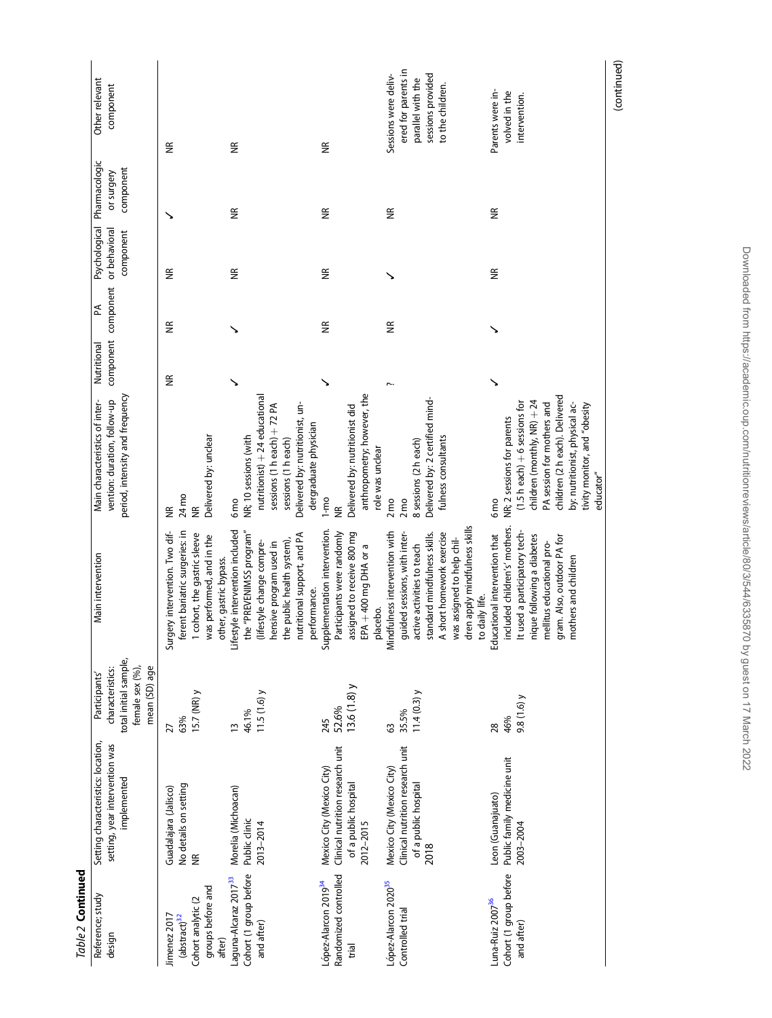| Table 2 Continued                                                                             |                                                                                                    |                                                                                                |                                                                                                                                                                                                                                           |                                                                                                                                                                                                                                                                 |                          |                         |                                             |                                          |                                                                                                           |
|-----------------------------------------------------------------------------------------------|----------------------------------------------------------------------------------------------------|------------------------------------------------------------------------------------------------|-------------------------------------------------------------------------------------------------------------------------------------------------------------------------------------------------------------------------------------------|-----------------------------------------------------------------------------------------------------------------------------------------------------------------------------------------------------------------------------------------------------------------|--------------------------|-------------------------|---------------------------------------------|------------------------------------------|-----------------------------------------------------------------------------------------------------------|
| Reference; study<br>design                                                                    | Setting characteristics: location,<br>setting, year intervention was<br>implemented                | total initial sample,<br>female sex (%),<br>characteristics:<br>mean (SD) age<br>Participants' | Main intervention                                                                                                                                                                                                                         | period, intensity and frequency<br>vention: duration, follow-up<br>Main characteristics of inter-                                                                                                                                                               | component<br>Nutritional | component<br>Ã          | Psychological<br>or behavioral<br>component | Pharmacologic<br>component<br>or surgery | Other relevant<br>component                                                                               |
| groups before and<br>Cohort analytic (2<br>Jimenez 2017<br>(abstract) <sup>32</sup><br>after) | No details on setting<br>Guadalajara (Jalisco)<br>$\widetilde{\Xi}$                                | 15.7 (NR) y<br>63%<br>27                                                                       | ferent bariatric surgeries: in<br>Surgery intervention. Two dif-<br>1 cohort, the gastric sleeve<br>was performed, and in the<br>other, gastric bypass.                                                                                   | Delivered by: unclear<br>24 mo<br>g<br>E                                                                                                                                                                                                                        | $\widetilde{\Xi}$        | $\frac{\alpha}{\alpha}$ | $\widetilde{\Xi}$                           |                                          | $\widetilde{\Xi}$                                                                                         |
| Cohort (1 group before<br>Laguna-Alcaraz 2017 <sup>33</sup><br>and after)                     | Morelia (Michoacan)<br>Public clinic<br>2013-2014                                                  | 11.5(1.6)<br>46.1%<br>$\frac{1}{2}$                                                            | Lifestyle intervention included<br>the "PREVENIMSS program"<br>nutritional support, and PA<br>he public health system),<br>lifestyle change compre-<br>ensive program used in<br>performance.                                             | nutritionist) + 24 educational<br>Delivered by: nutritionist, un-<br>sessions (1 h each) + 72 PA<br>dergraduate physician<br>NR; 10 sessions (with<br>sessions (1 h each)<br>6 <sub>mo</sub>                                                                    |                          |                         | $\widetilde{\Xi}$                           | $\widetilde{\Xi}$                        | E                                                                                                         |
| Randomized controlled<br>López-Alarcon 2019 <sup>34</sup><br>trial                            | Clinical nutrition research unit<br>Mexico City (Mexico City)<br>of a public hospital<br>2012-2015 | $13.6(1.8)$ y<br>52.6%<br>245                                                                  | Supplementation intervention.<br>assigned to receive 800 mg<br>Participants were randomly<br>EPA + 400 mg DHA or a<br>placebo.                                                                                                            | anthropometry; however, the<br>Delivered by: nutritionist did<br>role was unclear<br>$1-m$ o<br>¥                                                                                                                                                               |                          | $\frac{\alpha}{2}$      | $\frac{\alpha}{\beta}$                      | €                                        | $\widetilde{\Xi}$                                                                                         |
| López-Alarcon 2020 <sup>35</sup><br>Controlled trial                                          | Clinical nutrition research unit<br>Mexico City (Mexico City)<br>of a public hospital<br>2018      | $11.4(0.3)$ y<br>35.5%<br>63                                                                   | dren apply mindfulness skills<br>Mindfulness intervention with<br>guided sessions, with inter-<br>standard mindfulness skills.<br>A short homework exercise<br>was assigned to help chil-<br>active activities to teach<br>to daily life. | Delivered by: 2 certified mind-<br>fulness consultants<br>8 sessions (2 h each)<br>$2 \text{mo}$<br>2 <sub>mo</sub>                                                                                                                                             |                          | $\frac{\alpha}{\beta}$  |                                             | $\widetilde{\Xi}$                        | ered for parents in<br>Sessions were deliv-<br>sessions provided<br>parallel with the<br>to the children. |
| Cohort (1 group before<br>Luna-Ruiz 2007 <sup>36</sup><br>and after)                          | Public family medicine unit<br>Leon (Guanajuato)<br>2003-2004                                      | 9.8(1.6)<br>46%<br>28                                                                          | included children's' mothers.<br>It used a participatory tech-<br>Educational intervention that<br>ique following a diabetes<br>gram. Also, outdoor PA for<br>nellitus educational pro-<br>mothers and children                           | children (2h each). Delivered<br>children (monthly, NR) + 24<br>$(1.5 h$ each) $+ 6$ sessions for<br>PA session for mothers and<br>by: nutritionist, physical ac-<br>tivity monitor, and "obesity<br>NR; 2 sessions for parents<br>educator"<br>6 <sub>mo</sub> | ↘                        |                         | €                                           | €                                        | Parents were in-<br>volved in the<br>intervention.                                                        |
|                                                                                               |                                                                                                    |                                                                                                |                                                                                                                                                                                                                                           |                                                                                                                                                                                                                                                                 |                          |                         |                                             |                                          | (continued)                                                                                               |

Downloaded from https://academic.oup.com/nutritionreviews/article/80/3/544/6335870 by guest on 17 March 2022 Downloaded from https://academic.oup.com/nutritionreviews/article/80/3/544/6335870 by guest on 17 March 2022

(continued)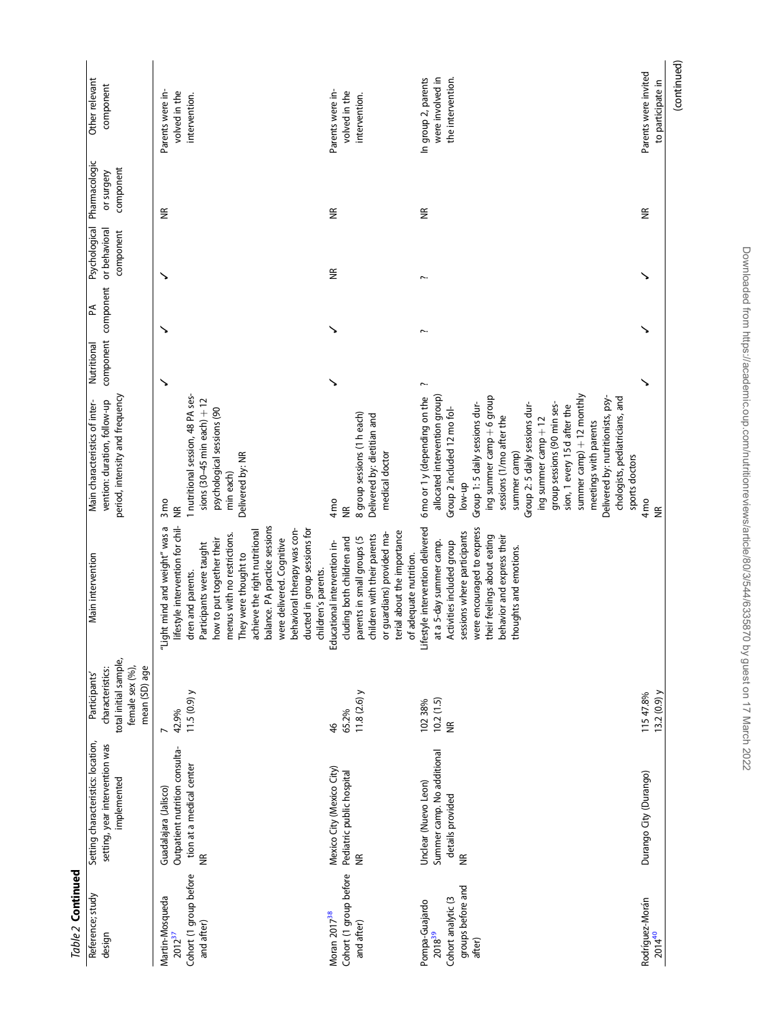| Table 2 Continued                                                                         |                                                                                                           |                                                                                                |                                                                                                                                                                                                                                                                                                                                                                                             |                                                                                                                                                                                                                                                                                                                                              |             |                          |                                             |                                          |                                                              |
|-------------------------------------------------------------------------------------------|-----------------------------------------------------------------------------------------------------------|------------------------------------------------------------------------------------------------|---------------------------------------------------------------------------------------------------------------------------------------------------------------------------------------------------------------------------------------------------------------------------------------------------------------------------------------------------------------------------------------------|----------------------------------------------------------------------------------------------------------------------------------------------------------------------------------------------------------------------------------------------------------------------------------------------------------------------------------------------|-------------|--------------------------|---------------------------------------------|------------------------------------------|--------------------------------------------------------------|
| Reference; study<br>design                                                                | Setting characteristics: location,<br>setting, year intervention was<br>mplemented                        | total initial sample,<br>female sex (%),<br>mean (SD) age<br>characteristics:<br>Participants' | Main intervention                                                                                                                                                                                                                                                                                                                                                                           | period, intensity and frequency<br>vention: duration, follow-up<br>Main characteristics of inter-                                                                                                                                                                                                                                            | Nutritional | component component<br>Ã | Psychological<br>or behavioral<br>component | Pharmacologic<br>component<br>or surgery | Other relevant<br>component                                  |
| Cohort (1 group before<br>Martin-Mosqueda<br>and after)<br>$2012^{37}$                    | Outpatient nutrition consulta-<br>tion at a medical center<br>Guadalajara (Jalisco)<br>$\frac{\alpha}{2}$ | $11.5(0.9)$ y<br>42.9%                                                                         | balance. PA practice sessions<br>lifestyle intervention for chil-<br>"Light mind and weight" was a<br>behavioral therapy was con-<br>ducted in group sessions for<br>achieve the right nutritional<br>menus with no restrictions.<br>were delivered. Cognitive<br>how to put together their<br>Participants were taught<br>They were thought to<br>children's parents.<br>dren and parents. | 1 nutritional session, 48 PA ses-<br>sions $(30-45$ min each) $+12$<br>psychological sessions (90<br>Delivered by: NR<br>min each)<br>3 <sub>mo</sub><br>旨                                                                                                                                                                                   |             |                          |                                             | E                                        | Parents were in-<br>volved in the<br>intervention.           |
| Cohort (1 group before<br>Moran 2017 <sup>38</sup><br>and after)                          | Mexico City (Mexico City)<br>Pediatric public hospital<br>$\widetilde{\Xi}$                               | $11.8(2.6)$ y<br>65.2%<br>46                                                                   | terial about the importance<br>or guardians) provided ma-<br>children with their parents<br>parents in small groups (5<br>cluding both children and<br>Educational intervention in-<br>of adequate nutrition.                                                                                                                                                                               | 8 group sessions (1 h each)<br>Delivered by: dietitian and<br>medical doctor<br>4 <sub>mo</sub><br>¥                                                                                                                                                                                                                                         |             |                          | €                                           | ⋚                                        | Parents were in-<br>volved in the<br>intervention.           |
| groups before and<br>Cohort analytic (3<br>Pompa-Guajardo<br>2018 <sup>39</sup><br>after) | Summer camp. No additional<br>Unclear (Nuevo Leon)<br>details provided<br>$\widetilde{\Xi}$               | $10.2(1.5)$<br>NR<br>102 38%                                                                   | Lifestyle intervention delivered<br>were encouraged to express<br>sessions where participants<br>their feelings about eating<br>behavior and express their<br>at a 5-day summer camp.<br>Activities included group<br>thoughts and emotions.                                                                                                                                                | 6 mo or 1 y (depending on the<br>allocated intervention group)<br>ing summer camp $+$ 6 group<br>Group 1:5 daily sessions dur-<br>Group 2: 5 daily sessions dur-<br>group sessions (90 min ses-<br>sion, 1 every 15 d after the<br>Group 2 included 12 mo fol-<br>sessions (1/mo after the<br>ing summer camp + 12<br>summer camp)<br>low-up |             |                          |                                             | €                                        | In group 2, parents<br>were involved in<br>the intervention. |

# (continued) (continued) Parents were invited<br>to participate in

to participate in

✓✓✓ NR Parents were invited

 $\overline{\phantom{0}}$ 

 $\ddot{\phantom{1}}$ 

 $\ddot{\phantom{1}}$ 

 $\widetilde{\Xi}$ 

summer camp)  $+12$  monthly meetings with parents Delivered by: nutritionists, psychologists, pediatricians, and

summer  $camp + 12$  monthly<br>meetings with parents<br>Delivered by: nutritionists, psy-<br>chologists, pediatricians, and

sports doctors

sports doctors

4 mo NR

Rodrí

íguez-Morán 2014<sup>40</sup>

Durango City (Durango) 115 47.8%

Durango City (Durango)

115 47.8%<br>13.2 (0.9) y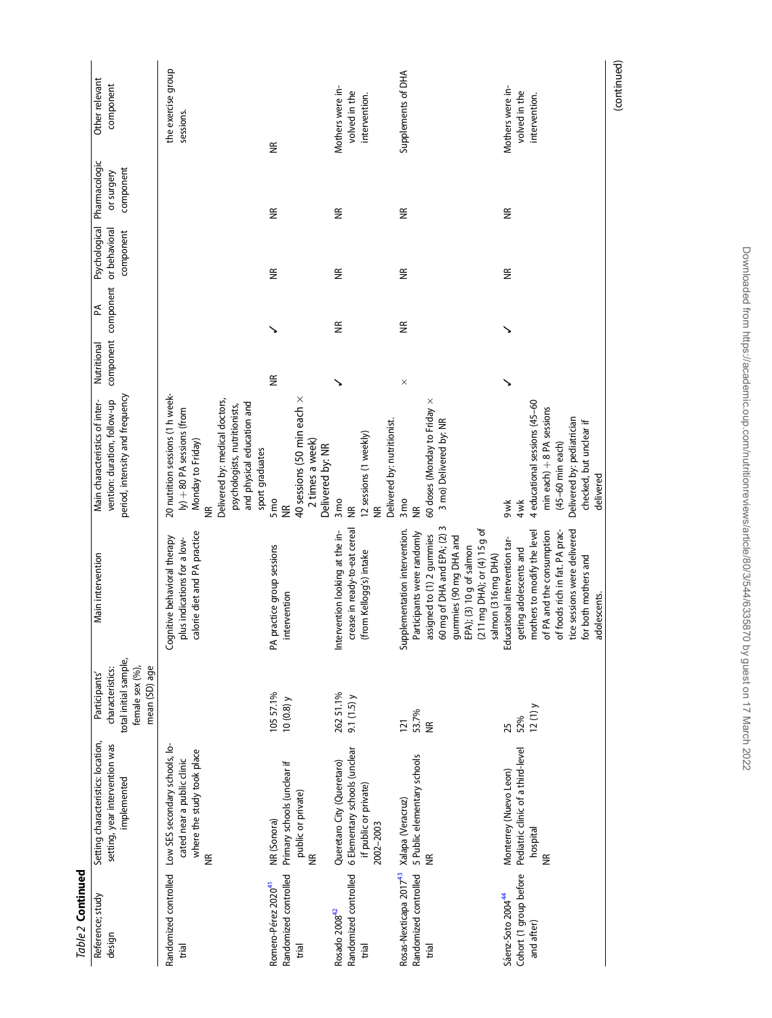| Table 2 Continued                                                                      |                                                                                                   |                                                                                                |                                                                                                                                                                                                                                          |                                                                                                                                                                                                              |             |                          |                                             |                                          |                                                    |
|----------------------------------------------------------------------------------------|---------------------------------------------------------------------------------------------------|------------------------------------------------------------------------------------------------|------------------------------------------------------------------------------------------------------------------------------------------------------------------------------------------------------------------------------------------|--------------------------------------------------------------------------------------------------------------------------------------------------------------------------------------------------------------|-------------|--------------------------|---------------------------------------------|------------------------------------------|----------------------------------------------------|
| Reference; study<br>design                                                             | Setting characteristics: location,<br>setting, year intervention was<br>implemented               | total initial sample,<br>female sex (%),<br>characteristics:<br>mean (SD) age<br>Participants' | Main intervention                                                                                                                                                                                                                        | period, intensity and frequency<br>vention: duration, follow-up<br>Main characteristics of inter-                                                                                                            | Nutritional | component component<br>Ã | Psychological<br>or behavioral<br>component | Pharmacologic<br>component<br>or surgery | Other relevant<br>component                        |
| Randomized controlled<br>trial                                                         | Low SES secondary schools, lo-<br>where the study took place<br>cated near a public clinic<br>€   |                                                                                                | calorie diet and PA practice<br>Cognitive behavioral therapy<br>plus indications for a low-                                                                                                                                              | 20 nutrition sessions (1 h week-<br>Delivered by: medical doctors,<br>and physical education and<br>psychologists, nutritionists,<br>ly) + 80 PA sessions (from<br>Monday to Friday)<br>sport graduates<br>¥ |             |                          |                                             |                                          | the exercise group<br>sessions.                    |
| Randomized controlled<br>Romero-Pérez 2020 <sup>41</sup><br>trial                      | Primary schools (unclear if<br>public or private)<br>NR (Sonora)<br>$\widetilde{\Xi}$             | 105 57.1%<br>10 $(0.8)$ y                                                                      | PA practice group sessions<br>intervention                                                                                                                                                                                               | 40 sessions (50 min each x<br>2 times a week)<br>Delivered by: NR<br>5 <sub>mo</sub><br>$\widetilde{\Xi}$                                                                                                    | E           |                          | $\frac{\alpha}{\beta}$                      | $\widetilde{\Xi}$                        | $\widetilde{\Xi}$                                  |
| Randomized controlled<br>Rosado 2008 <sup>42</sup><br>trial                            | 6 Elementary schools (unclear<br>Queretaro City (Queretaro)<br>if public or private)<br>2002-2003 | 262 51.1%<br>9.1 $(1.5)$ y                                                                     | crease in ready-to-eat cereal<br>Intervention looking at the in-<br>(from Kellogg's) intake                                                                                                                                              | Delivered by: nutritionist.<br>12 sessions (1 weekly)<br>3 <sub>mo</sub><br>$\widetilde{\Xi}$<br>$\widetilde{\Xi}$                                                                                           |             | $\frac{\alpha}{\beta}$   | $\widetilde{\Xi}$                           | $\widetilde{\Xi}$                        | Mothers were in-<br>volved in the<br>intervention. |
| Rosas-Nexticapa 2017 <sup>43</sup> Xalapa (Veracruz)<br>Randomized controlled<br>trial | 5 Public elementary schools                                                                       | 53.7%<br>121<br>$\widetilde{\Xi}$                                                              | assigned to (1) 2 gummies<br>60 mg of DHA and EPA; (2) 3<br>(211 mg DHA); or (4) 15 g of<br>Supplementation intervention.<br>Participants were randomly<br>ummies (90 mg DHA and<br>PA); (3) 10 g of salmon<br>salmon (316 mg DHA)<br>ōΠ | 60 doses (Monday to Friday x<br>3 mo) Delivered by: NR<br>$3 \text{mo}$<br>¥                                                                                                                                 | $\times$    | $\frac{\alpha}{\beta}$   | $\widetilde{\Xi}$                           | $\widetilde{\Xi}$                        | Supplements of DHA                                 |
| Cohort (1 group before<br>Sáenz-Soto 200444<br>and after)                              | Pediatric clinic of a third-level<br>Monterrey (Nuevo Leon)<br>hospital<br>$\widetilde{\Xi}$      | $12(1)$ y<br>52%<br>25                                                                         | geting adolescents and<br>mothers to modify the level<br>tice sessions were delivered<br>foods rich in fat. PA prac-<br>of PA and the consumption<br>Educational intervention tar-<br>for both mothers and<br>adolescents.<br>৳          | 4 educational sessions (45-60<br>min each) + 8 PA sessions<br>Delivered by: pediatrician<br>checked, but unclear if<br>$(45-60$ min each)<br>delivered<br>4wk<br>9wk                                         |             |                          | $\frac{\alpha}{\beta}$                      | $\widetilde{\Xi}$                        | Mothers were in-<br>volved in the<br>intervention. |
|                                                                                        |                                                                                                   |                                                                                                |                                                                                                                                                                                                                                          |                                                                                                                                                                                                              |             |                          |                                             |                                          | (continued)                                        |

Downloaded from https://academic.oup.com/nutritionreviews/article/80/3/544/6335870 by guest on 17 March 2022 Downloaded from https://academic.oup.com/nutritionreviews/article/80/3/544/6335870 by guest on 17 March 2022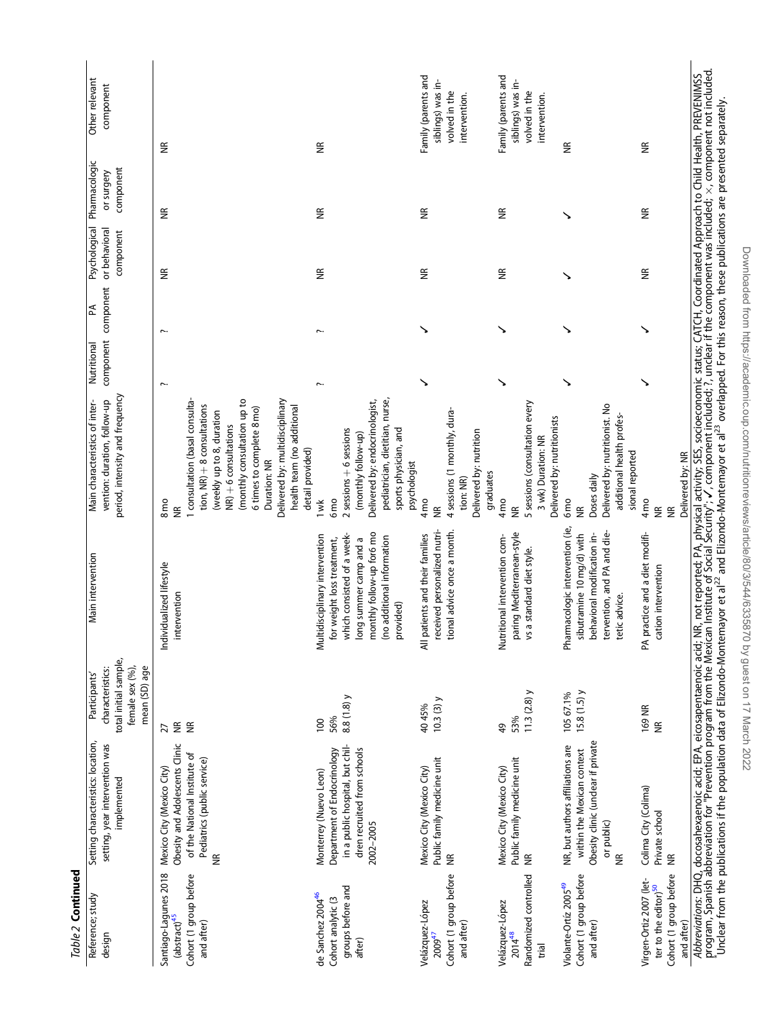| Table 2 Continued                                                                                   |                                                                                                                                                                                                                       |                                                                                                |                                                                                                                                                                                                                                          |                                                                                                                                                                                                                                                                                                                    |             |                          |                                             |                                          |                                                                            |
|-----------------------------------------------------------------------------------------------------|-----------------------------------------------------------------------------------------------------------------------------------------------------------------------------------------------------------------------|------------------------------------------------------------------------------------------------|------------------------------------------------------------------------------------------------------------------------------------------------------------------------------------------------------------------------------------------|--------------------------------------------------------------------------------------------------------------------------------------------------------------------------------------------------------------------------------------------------------------------------------------------------------------------|-------------|--------------------------|---------------------------------------------|------------------------------------------|----------------------------------------------------------------------------|
| Reference; study<br>design                                                                          | Setting characteristics: location,<br>setting, year intervention was<br>implemented                                                                                                                                   | total initial sample,<br>female sex (%),<br>mean (SD) age<br>characteristics:<br>Participants' | Main intervention                                                                                                                                                                                                                        | period, intensity and frequency<br>vention: duration, follow-up<br>Main characteristics of inter-                                                                                                                                                                                                                  | Nutritional | component component<br>₹ | Psychological<br>or behavioral<br>component | Pharmacologic<br>component<br>or surgery | Other relevant<br>component                                                |
| Santiago-Lagunes 2018<br>Cohort (1 group before<br>(abstract) <sup>45</sup><br>and after)           | Obesity and Adolescents Clinic<br>of the National Institute of<br>Pediatrics (public service)<br>Mexico City (Mexico City)<br>$\widetilde{\Xi}$                                                                       | ΨŘ<br>$\widetilde{\Xi}$<br>27                                                                  | Individualized lifestyle<br>intervention                                                                                                                                                                                                 | Delivered by: multidisciplinary<br>I consultation (basal consulta-<br>(monthly consultation up to<br>tion, NR) + 8 consultations<br>health team (no additional<br>6 times to complete 8 mo)<br>(weekly up to 8, duration<br>$NR$ ) $+$ 6 consultations<br>detail provided)<br>Duration: NR<br>8 <sub>mo</sub><br>⋚ | $\sim$      | $\sim$                   | JK                                          | $\widetilde{\Xi}$                        | $\widetilde{\Xi}$                                                          |
| groups before and<br>de Sanchez 2004 <sup>46</sup><br>Cohort analytic (3<br>after)                  | in a public hospital, but chil-<br>dren recruited from schools<br>Department of Endocrinology<br>Monterrey (Nuevo Leon)<br>2002-2005                                                                                  | 8.8 (1.8) y<br>56%<br>$\overline{0}$                                                           | monthly follow-up for6 mo<br>which consisted of a week-<br>Multidisciplinary intervention<br>(no additional information<br>long summer camp and a<br>for weight loss treatment,<br>provided)                                             | pediatrician, dietitian, nurse,<br>Delivered by: endocrinologist,<br>sports physician, and<br>$2$ sessions $+$ 6 sessions<br>(monthly follow-up)<br>psychologist<br>6 <sub>mo</sub><br>1 wk                                                                                                                        | Į.          | $\sim$                   | E                                           | £                                        | ⋚                                                                          |
| Cohort (1 group before<br>Velázquez-López<br>and after)<br>$2009^{47}$                              | Public family medicine unit<br>Mexico City (Mexico City)<br>$\frac{\alpha}{\beta}$                                                                                                                                    | $10.3(3)$ y<br>40 45%                                                                          | received personalized nutri-<br>tional advice once a month.<br>All patients and their families                                                                                                                                           | 4 sessions (1 monthly, dura-<br>Delivered by: nutrition<br>graduates<br>tion: NR)<br>4 <sub>mo</sub><br>$\widetilde{\Xi}$                                                                                                                                                                                          |             |                          | E                                           | ⋚                                        | Family (parents and<br>siblings) was in-<br>volved in the<br>intervention. |
| Randomized controlled<br>Velázquez-López<br>$2014^{48}$<br>trial                                    | Public family medicine unit<br>Mexico City (Mexico City)<br>$\widetilde{\Xi}$                                                                                                                                         | $11.3(2.8)$ y<br>53%<br>49                                                                     | paring Mediterranean-style<br>Nutritional intervention com-<br>vs a standard diet style.                                                                                                                                                 | 5 sessions (consultation every<br>Delivered by: nutritionists<br>3 wk) Duration: NR<br>$4 \text{mo}$<br>€                                                                                                                                                                                                          | ↘           |                          | ⋚                                           | €                                        | Family (parents and<br>siblings) was in-<br>volved in the<br>intervention. |
| Cohort (1 group before<br>Violante-Ortíz 2005 <sup>49</sup><br>and after)                           | Obesity clinic (unclear if private<br>NR, but authors affiliations are<br>within the Mexican context<br>or public)<br>$\widetilde{\Xi}$                                                                               | $15.8(1.5)$ y<br>105 67.1%                                                                     | Pharmacologic intervention (ie,<br>tervention, and PA and die-<br>behavioral modification in-<br>sibutramine 10 mg/d) with<br>tetic advice.                                                                                              | Delivered by: nutritionist. No<br>additional health profes-<br>sional reported<br>Doses daily<br>6 <sub>mo</sub><br>$\widetilde{\Xi}$                                                                                                                                                                              |             |                          |                                             | ↘                                        | E                                                                          |
| Cohort (1 group before<br>Virgen-Ortiz 2007 (let-<br>ter to the editor) <sup>50</sup><br>and after) | Colima City (Colima)<br>Private school<br>$\frac{\alpha}{\beta}$                                                                                                                                                      | 169 NR<br>$\widetilde{\Xi}$                                                                    | PA practice and a diet modifi-<br>cation intervention                                                                                                                                                                                    | Delivered by: NR<br>4 <sub>mo</sub><br>$\widetilde{\Xi}$<br>$\widetilde{\Xi}$                                                                                                                                                                                                                                      |             |                          | J                                           | £                                        | ⋚                                                                          |
|                                                                                                     | Unclear from the publications if the population data of Elizondo-Montemayor et al <sup>22</sup> and Elizondo-Montemayor et al <sup>23</sup> overlapped. For this reason, these publications are presented separately, |                                                                                                | A <i>bbreviations</i> : DHQ, docosahexaenoic acid; EPA, eicosapentaenoic acid; NR, not reported; PA, physical activity; SES, socioeconomic status; CATCH, Coordinated Approach to Child Health, PREVENIMSS<br>program, Spanish abbreviat |                                                                                                                                                                                                                                                                                                                    |             |                          |                                             |                                          |                                                                            |

Downloaded from https://academic.oup.com/nutritionreviews/article/80/3/544/6335870 by guest on 17 March 2022 Downloaded from https://academic.oup.com/nutritionreviews/article/80/3/544/6335870 by guest on 17 March 2022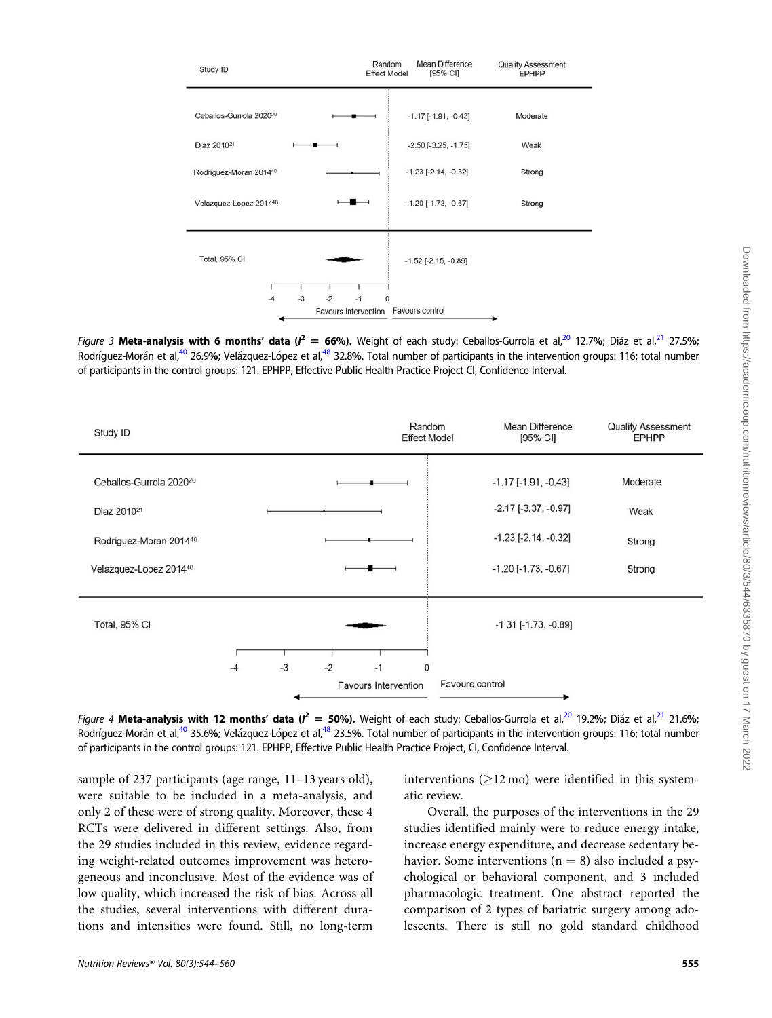<span id="page-11-0"></span>

Figure 3 Meta-analysis with 6 months' data ( $l^2 = 66\%$ ). Weight of each study: Ceballos-Gurrola et al, $^{20}$  $^{20}$  $^{20}$  12.7%; Diáz et al, $^{21}$  27.5%; Rodríguez-Morán et al,<sup>[40](#page-15-0)</sup> 26.9%; Velázquez-López et al,<sup>48</sup> 32.8%. Total number of participants in the intervention groups: 116; total number of participants in the control groups: 121. EPHPP, Effective Public Health Practice Project CI, Confidence Interval.



Figure 4 Meta-analysis with 12 months' data ( $l^2 =$  50%). Weight of each study: Ceballos-Gurrola et al,<sup>[20](#page-15-0)</sup> 19.2%; Diáz et al,<sup>21</sup> 21.6%; Rodríguez-Morán et al,<sup>[40](#page-15-0)</sup> 35.6%; Velázquez-López et al,<sup>48</sup> 23.5%. Total number of participants in the intervention groups: 116; total number of participants in the control groups: 121. EPHPP, Effective Public Health Practice Project, CI, Confidence Interval.

sample of 237 participants (age range, 11–13 years old), were suitable to be included in a meta-analysis, and only 2 of these were of strong quality. Moreover, these 4 RCTs were delivered in different settings. Also, from the 29 studies included in this review, evidence regarding weight-related outcomes improvement was heterogeneous and inconclusive. Most of the evidence was of low quality, which increased the risk of bias. Across all the studies, several interventions with different durations and intensities were found. Still, no long-term interventions ( $\geq$ 12 mo) were identified in this systematic review.

Overall, the purposes of the interventions in the 29 studies identified mainly were to reduce energy intake, increase energy expenditure, and decrease sedentary behavior. Some interventions ( $n = 8$ ) also included a psychological or behavioral component, and 3 included pharmacologic treatment. One abstract reported the comparison of 2 types of bariatric surgery among adolescents. There is still no gold standard childhood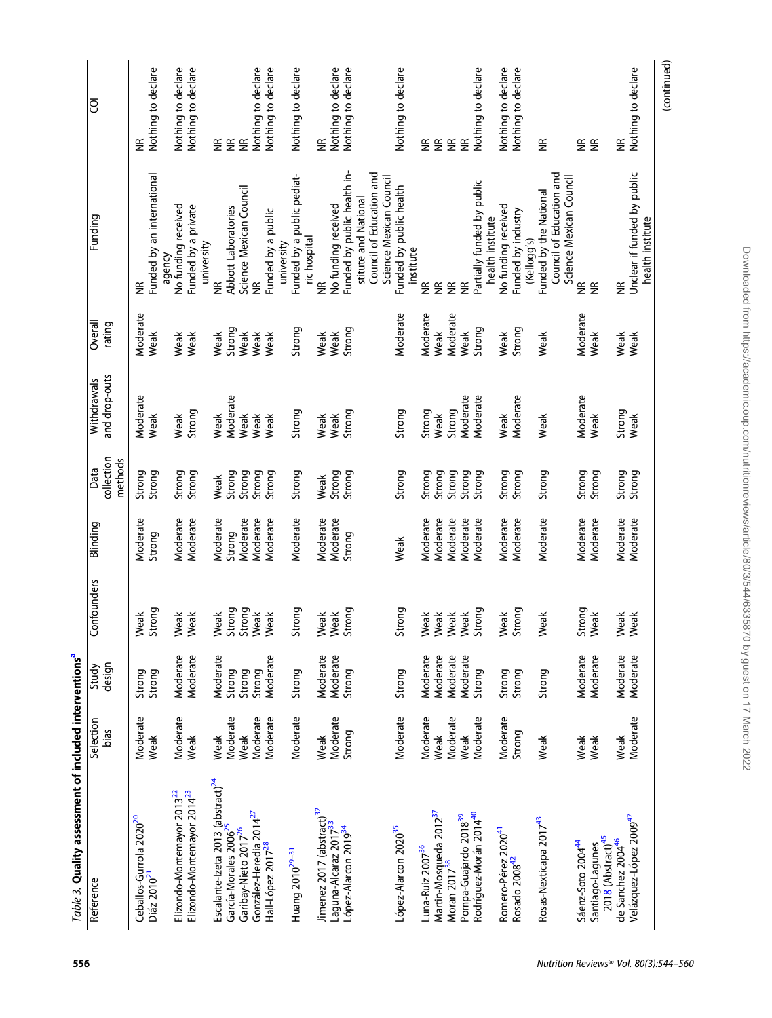<span id="page-12-0"></span>

| Table 3. Quality assessment of included interventions <sup>a</sup>                                                                                                        |                                                  |                                                        |                                        |                                                          |                                                |                                                  |                                                       |                                                                                                                                                 |                                                                                        |
|---------------------------------------------------------------------------------------------------------------------------------------------------------------------------|--------------------------------------------------|--------------------------------------------------------|----------------------------------------|----------------------------------------------------------|------------------------------------------------|--------------------------------------------------|-------------------------------------------------------|-------------------------------------------------------------------------------------------------------------------------------------------------|----------------------------------------------------------------------------------------|
| Reference                                                                                                                                                                 | Selection<br>bias                                | design<br>Study                                        | Confounders                            | Blinding                                                 | collection<br>methods<br>Data                  | and drop-outs<br>Withdrawals                     | Overall<br>rating                                     | Funding                                                                                                                                         | වි                                                                                     |
| Ceballos-Gurrola 2020 <sup>20</sup><br>Diáz 2010 <sup>21</sup>                                                                                                            | Moderate<br>Weak                                 | Strong<br>Strong                                       | Strong<br>Weak                         | Moderate<br>Strong                                       | Strong<br>Strong                               | Moderate<br>Weak                                 | Moderate<br>Weak                                      | Funded by an international<br>agency<br>$\widetilde{\Xi}$                                                                                       | Nothing to declare<br>$\widetilde{\Xi}$                                                |
| Elizondo-Montemayor 2014 <sup>23</sup><br>Elizondo-Montemayor 2013 <sup>22</sup>                                                                                          | Moderate<br>Weak                                 | Moderate<br>Moderate                                   | Weak<br>Weak                           | Moderate<br>Moderate                                     | Strong<br>Strong                               | Strong<br>Weak                                   | Weak<br>Weak                                          | No funding received<br>Funded by a private                                                                                                      | Nothing to declare<br>Nothing to declare                                               |
| Escalante-Izeta 2013 $\text{(abstract)}^{24}$<br>Garibay-Nieto 2017 <sup>26</sup><br>García-Morales 2006                                                                  | Moderate<br>Moderate<br>Weak<br>Weak             | Moderate<br>Strong<br>Strong<br>Strong                 | Strong<br>Strong<br>Weak<br>Weak       | Moderate<br>Moderate<br>Moderate<br>Strong               | Strong<br>Strong<br>Strong<br>Weak             | Moderate<br>Weak<br>Weak<br>Weak                 | Strong<br>Weak<br>Weak<br>Weak                        | Science Mexican Council<br>Abbott Laboratories<br>university<br>$\widetilde{\Xi}$<br>g                                                          | Nothing to declare<br>≨ ≆<br>$\widetilde{\Xi}$                                         |
| González-Heredia 2014 <sup>27</sup><br>Hall-López 2017 <sup>28</sup><br>Huang 2010 <sup>29-31</sup>                                                                       | Moderate<br>Moderate                             | Moderate<br>Strong                                     | Strong<br>Weak                         | Moderate<br>Moderate                                     | Strong<br>Strong                               | Strong<br>Weak                                   | Strong<br>Weak                                        | Funded by a public pediat-<br>Funded by a public<br>university                                                                                  | <b>Nothing to declare</b><br>Nothing to declare                                        |
| Jimenez 2017 (abstract) <sup>32</sup><br>Laguna-Alcaraz 2017 <sup>33</sup><br>López-Alarcon 2019 <sup>34</sup>                                                            | Moderate<br>Strong<br>Weak                       | Moderate<br>Moderate<br>Strong                         | Strong<br>Weak<br>Weak                 | Moderate<br>Moderate<br>Strong                           | Strong<br>Strong<br>Weak                       | Strong<br>Weak<br>Weak                           | Strong<br>Weak<br>Weak                                | Funded by public health in-<br>Council of Education and<br>stitute and National<br>No funding received<br>ric hospital<br>≝                     | Nothing to declare<br>Nothing to declare<br>$\widetilde{\Xi}$                          |
| López-Alarcon 2020 <sup>35</sup>                                                                                                                                          | Moderate                                         | Strong                                                 | Strong                                 | Weak                                                     | Strong                                         | Strong                                           | Moderate                                              | Science Mexican Council<br>Funded by public health                                                                                              | Nothing to declare                                                                     |
| Martin-Mosqueda 2012 <sup>37</sup><br>Moran 2017 <sup>38</sup><br>Rodríguez-Morán 2014 <sup>40</sup><br>Pompa-Guajardo 2018 <sup>39</sup><br>Luna-Ruiz 2007 <sup>36</sup> | Moderate<br>Moderate<br>Moderate<br>Weak<br>Weak | Moderate<br>Moderate<br>Moderate<br>Moderate<br>Strong | Strong<br>Weak<br>Weak<br>Weak<br>Weak | Moderate<br>Moderate<br>Moderate<br>Moderate<br>Moderate | Strong<br>Strong<br>Strong<br>Strong<br>Strong | Moderate<br>Moderate<br>Strong<br>Strong<br>Weak | Moderate<br><b>Moderate</b><br>Strong<br>Weak<br>Weak | Partially funded by public<br>health institute<br>institute<br>$\widetilde{\Xi}$<br>$\widetilde{\Xi}$<br>$\widetilde{\Xi}$<br>$\widetilde{\Xi}$ | Nothing to declare<br>$\widetilde{\Xi}$<br>$\widetilde{\Xi}$<br>$\widetilde{\Xi}$<br>E |
| Romero-Pérez 2020 <sup>41</sup><br>Rosado 2008 <sup>42</sup>                                                                                                              | Moderate<br>Strong                               | Strong<br>Strong                                       | Strong<br>Weak                         | Moderate<br>Moderate                                     | Strong<br>Strong                               | Moderate<br>Weak                                 | Strong<br>Weak                                        | No funding received<br>Funded by industry<br>(Kellogg's)                                                                                        | Nothing to declare<br>Nothing to declare                                               |
| Rosas-Nexticapa 2017 <sup>43</sup><br>Sáenz-Soto 2004 <sup>44</sup>                                                                                                       | Weak<br>Weak                                     | Moderate<br>Strong                                     | Strong<br>Weak                         | Moderate<br>Moderate                                     | Strong<br>Strong                               | Moderate<br>Weak                                 | Moderate<br>Weak                                      | Council of Education and<br>Science Mexican Council<br>Funded by the National<br>$\widetilde{\Xi}$                                              | $\widetilde{\Xi}$<br>$\widetilde{\Xi}$                                                 |
| Velázquez-López 2009 <sup>47</sup><br>2018 (Abstract) <sup>45</sup><br>de Sanchez 200446<br>Santiago-Lagunes                                                              | Moderate<br>Weak<br>Weak                         | Moderate<br>Moderate<br>Moderate                       | Weak<br>Weak<br>Weak                   | Moderate<br>Moderate<br>Moderate                         | Strong<br>Strong<br>Strong                     | Strong<br>Weak<br>Weak                           | Weak<br>Weak<br>Weak                                  | Unclear if funded by public<br>health institute<br>$\widetilde{\Xi}$<br>$\widetilde{\Xi}$                                                       | Nothing to declare<br>$\widetilde{\Xi}$<br>$\widetilde{\Xi}$                           |
|                                                                                                                                                                           |                                                  |                                                        |                                        |                                                          |                                                |                                                  |                                                       |                                                                                                                                                 | (continued)                                                                            |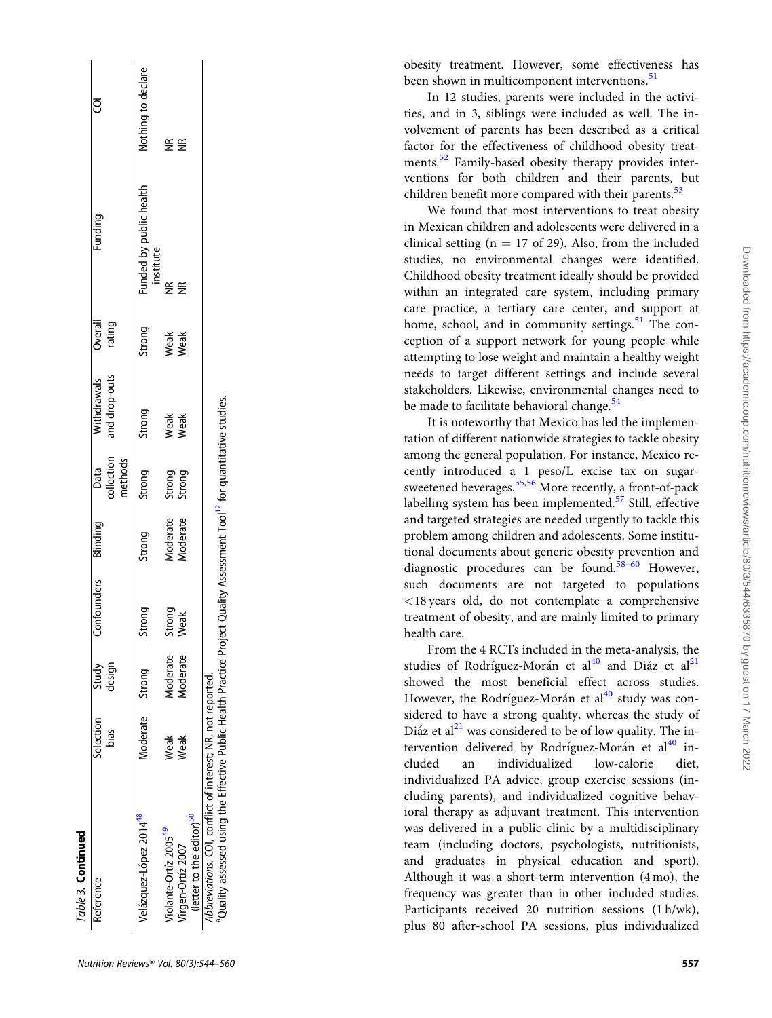<span id="page-13-0"></span>

| Table 3. Continued                                                                                                                                                                                              |                   |                 |                |                                             |                  |                              |                   |                                      |                         |
|-----------------------------------------------------------------------------------------------------------------------------------------------------------------------------------------------------------------|-------------------|-----------------|----------------|---------------------------------------------|------------------|------------------------------|-------------------|--------------------------------------|-------------------------|
| Reference                                                                                                                                                                                                       | Selection<br>bias | Study<br>design | Confounders    | Blinding Data<br>collection anu.<br>methods |                  | and drop-outs<br>Withdrawals | Overall<br>rating | Funding                              | ర్రె                    |
| Velázquez-López 2014 <sup>48</sup>                                                                                                                                                                              | Moderate Strong   |                 | Strong         | Strong                                      | Strong           | Strong                       | Strong            | Funded by public health<br>institute | Nothing to declare      |
| Violante-Ortíz 2005 <sup>49</sup>                                                                                                                                                                               | Weak              | Moderate        | Strong<br>Weak | Moderate                                    |                  | Weak<br>Weak                 | Weak<br>Weak      | €                                    | $\frac{\alpha}{\alpha}$ |
| (letter to the editor) <sup>50</sup><br>Virgen-Ortíz 2007                                                                                                                                                       | Weak              | Moderate        |                | Moderate                                    | Strong<br>Strong |                              |                   | $\widetilde{\Xi}$                    | $\widetilde{\Xi}$       |
| <sup>a</sup> Quality assessed using the Effective Public Health Practice Project Quality Assessment Tool <sup>12</sup> for quantitative studies.<br>Abbreviations: COI, conflict of interest; NR, not reported. |                   |                 |                |                                             |                  |                              |                   |                                      |                         |

obesity treatment. However, some effectiveness has been shown in multicomponent interventions.<sup>[51](#page-16-0)</sup>

In 12 studies, parents were included in the activities, and in 3, siblings were included as well. The involvement of parents has been described as a critical factor for the effectiveness of childhood obesity treat-ments.<sup>[52](#page-16-0)</sup> Family-based obesity therapy provides interventions for both children and their parents, but children benefit more compared with their parents.<sup>[53](#page-16-0)</sup>

We found that most interventions to treat obesity in Mexican children and adolescents were delivered in a clinical setting ( $n = 17$  of 29). Also, from the included studies, no environmental changes were identified. Childhood obesity treatment ideally should be provided within an integrated care system, including primary care practice, a tertiary care center, and support at home, school, and in community settings.<sup>[51](#page-16-0)</sup> The conception of a support network for young people while attempting to lose weight and maintain a healthy weight needs to target different settings and include several stakeholders. Likewise, environmental changes need to be made to facilitate behavioral change.<sup>[54](#page-16-0)</sup>

It is noteworthy that Mexico has led the implementation of different nationwide strategies to tackle obesity among the general population. For instance, Mexico recently introduced a 1 peso/L excise tax on sugar-sweetened beverages.<sup>[55,56](#page-16-0)</sup> More recently, a front-of-pack labelling system has been implemented. $57$  Still, effective and targeted strategies are needed urgently to tackle this problem among children and adolescents. Some institutional documents about generic obesity prevention and diagnostic procedures can be found.<sup>[58](#page-16-0)-60</sup> However, such documents are not targeted to populations <18 years old, do not contemplate a comprehensive treatment of obesity, and are mainly limited to primary health care.

From the 4 RCTs included in the meta-analysis, the studies of Rodríguez-Morán et al<sup>[40](#page-15-0)</sup> and Diáz et al<sup>[21](#page-15-0)</sup> showed the most beneficial effect across studies. However, the Rodríguez-Morán et al<sup>[40](#page-15-0)</sup> study was considered to have a strong quality, whereas the study of Diáz et al<sup>[21](#page-15-0)</sup> was considered to be of low quality. The intervention delivered by Rodríguez-Morán et al<sup>40</sup> included an individualized low-calorie diet, individualized PA advice, group exercise sessions (including parents), and individualized cognitive behavioral therapy as adjuvant treatment. This intervention was delivered in a public clinic by a multidisciplinary team (including doctors, psychologists, nutritionists, and graduates in physical education and sport). Although it was a short-term intervention (4 mo), the frequency was greater than in other included studies. Participants received 20 nutrition sessions (1 h/wk), plus 80 after-school PA sessions, plus individualized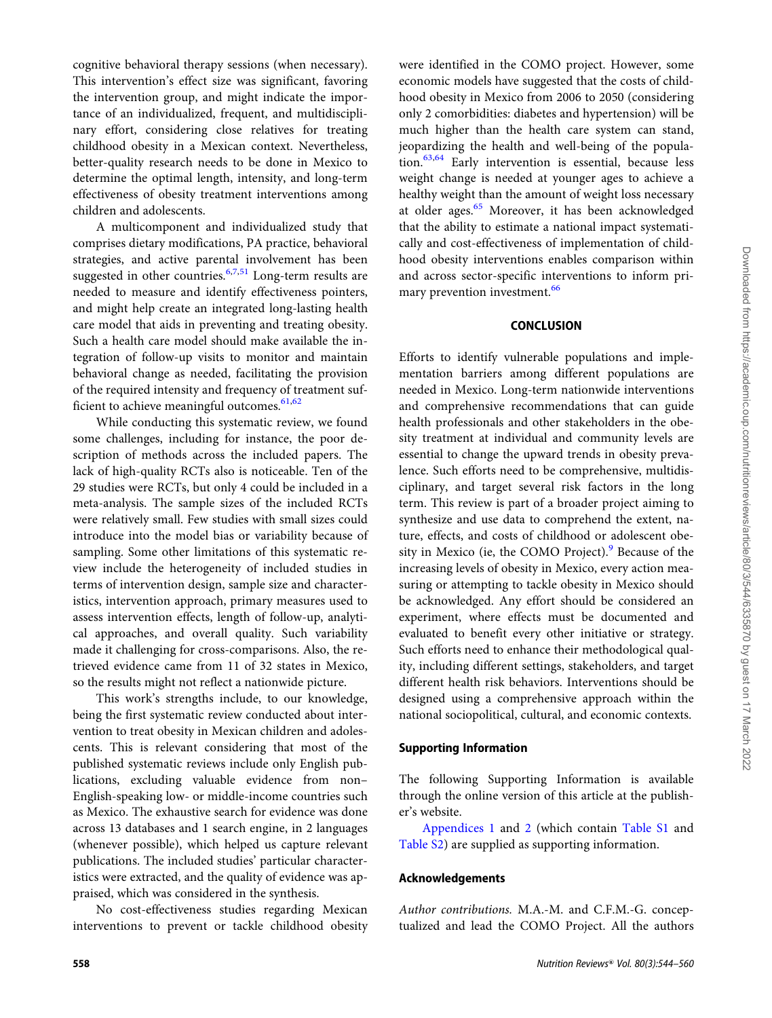cognitive behavioral therapy sessions (when necessary). This intervention's effect size was significant, favoring the intervention group, and might indicate the importance of an individualized, frequent, and multidisciplinary effort, considering close relatives for treating childhood obesity in a Mexican context. Nevertheless, better-quality research needs to be done in Mexico to determine the optimal length, intensity, and long-term effectiveness of obesity treatment interventions among children and adolescents.

A multicomponent and individualized study that comprises dietary modifications, PA practice, behavioral strategies, and active parental involvement has been suggested in other countries. $6,7,51$  $6,7,51$  $6,7,51$  $6,7,51$  Long-term results are needed to measure and identify effectiveness pointers, and might help create an integrated long-lasting health care model that aids in preventing and treating obesity. Such a health care model should make available the integration of follow-up visits to monitor and maintain behavioral change as needed, facilitating the provision of the required intensity and frequency of treatment sufficient to achieve meaningful outcomes. $61,62$  $61,62$ 

While conducting this systematic review, we found some challenges, including for instance, the poor description of methods across the included papers. The lack of high-quality RCTs also is noticeable. Ten of the 29 studies were RCTs, but only 4 could be included in a meta-analysis. The sample sizes of the included RCTs were relatively small. Few studies with small sizes could introduce into the model bias or variability because of sampling. Some other limitations of this systematic review include the heterogeneity of included studies in terms of intervention design, sample size and characteristics, intervention approach, primary measures used to assess intervention effects, length of follow-up, analytical approaches, and overall quality. Such variability made it challenging for cross-comparisons. Also, the retrieved evidence came from 11 of 32 states in Mexico, so the results might not reflect a nationwide picture.

This work's strengths include, to our knowledge, being the first systematic review conducted about intervention to treat obesity in Mexican children and adolescents. This is relevant considering that most of the published systematic reviews include only English publications, excluding valuable evidence from non– English-speaking low- or middle-income countries such as Mexico. The exhaustive search for evidence was done across 13 databases and 1 search engine, in 2 languages (whenever possible), which helped us capture relevant publications. The included studies' particular characteristics were extracted, and the quality of evidence was appraised, which was considered in the synthesis.

No cost-effectiveness studies regarding Mexican interventions to prevent or tackle childhood obesity were identified in the COMO project. However, some economic models have suggested that the costs of childhood obesity in Mexico from 2006 to 2050 (considering only 2 comorbidities: diabetes and hypertension) will be much higher than the health care system can stand, jeopardizing the health and well-being of the popula-tion.<sup>[63,64](#page-16-0)</sup> Early intervention is essential, because less weight change is needed at younger ages to achieve a healthy weight than the amount of weight loss necessary at older ages.<sup>[65](#page-16-0)</sup> Moreover, it has been acknowledged that the ability to estimate a national impact systematically and cost-effectiveness of implementation of childhood obesity interventions enables comparison within and across sector-specific interventions to inform pri-mary prevention investment.<sup>[66](#page-16-0)</sup>

#### **CONCLUSION**

Efforts to identify vulnerable populations and implementation barriers among different populations are needed in Mexico. Long-term nationwide interventions and comprehensive recommendations that can guide health professionals and other stakeholders in the obesity treatment at individual and community levels are essential to change the upward trends in obesity prevalence. Such efforts need to be comprehensive, multidisciplinary, and target several risk factors in the long term. This review is part of a broader project aiming to synthesize and use data to comprehend the extent, nature, effects, and costs of childhood or adolescent obesity in Mexico (ie, the COMO Project). $9$  Because of the increasing levels of obesity in Mexico, every action measuring or attempting to tackle obesity in Mexico should be acknowledged. Any effort should be considered an experiment, where effects must be documented and evaluated to benefit every other initiative or strategy. Such efforts need to enhance their methodological quality, including different settings, stakeholders, and target different health risk behaviors. Interventions should be designed using a comprehensive approach within the national sociopolitical, cultural, and economic contexts.

#### Supporting Information

The following Supporting Information is available through the online version of this article at the publisher's website.

Appendices 1 and 2 (which contain [Table S1](https://academic.oup.com/nutritionreviews/article-lookup/doi/10.1093/nutrit/nuab040#supplementary-data) and [Table S2](https://academic.oup.com/nutritionreviews/article-lookup/doi/10.1093/nutrit/nuab040#supplementary-data)) are supplied as supporting information.

#### Acknowledgements

Author contributions. M.A.-M. and C.F.M.-G. conceptualized and lead the COMO Project. All the authors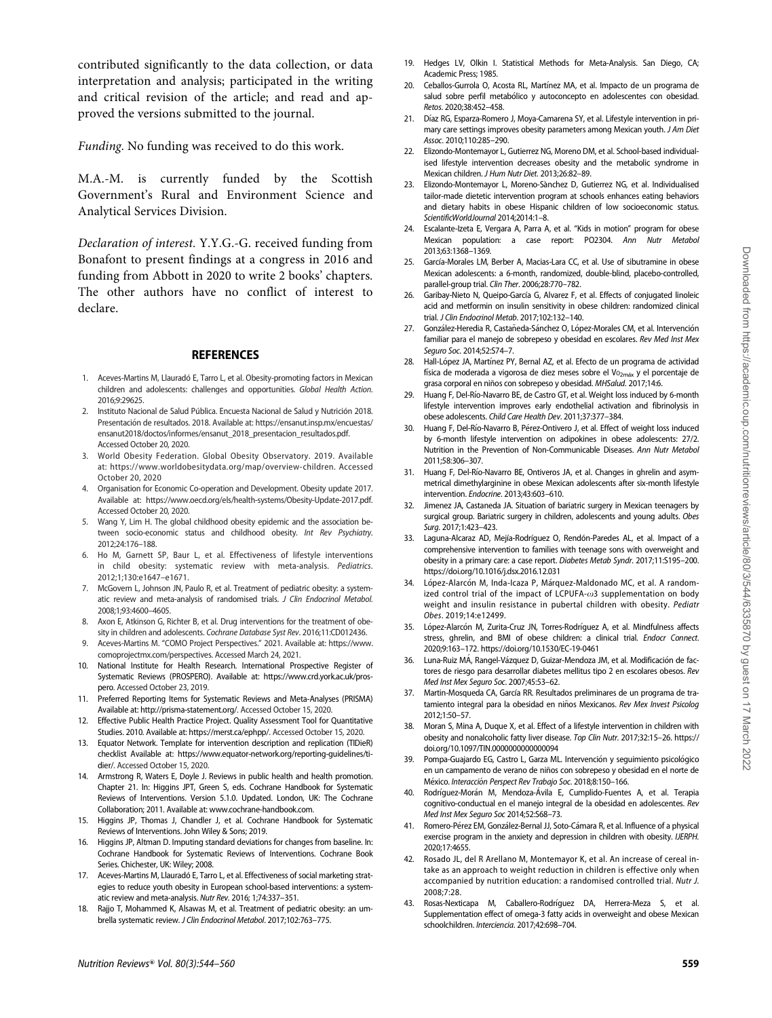<span id="page-15-0"></span>contributed significantly to the data collection, or data interpretation and analysis; participated in the writing and critical revision of the article; and read and approved the versions submitted to the journal.

Funding. No funding was received to do this work.

M.A.-M. is currently funded by the Scottish Government's Rural and Environment Science and Analytical Services Division.

Declaration of interest. Y.Y.G.-G. received funding from Bonafont to present findings at a congress in 2016 and funding from Abbott in 2020 to write 2 books' chapters. The other authors have no conflict of interest to declare.

#### REFERENCES

- 1. Aceves-Martins M, Llauradó E, Tarro L, et al. Obesity-promoting factors in Mexican children and adolescents: challenges and opportunities. Global Health Action. 2016;9:29625.
- 2. Instituto Nacional de Salud Pública. Encuesta Nacional de Salud y Nutrición 2018. Presentación de resultados. 2018. Available at: [https://ensanut.insp.mx/encuestas/](https://ensanut.insp.mx/encuestas/ensanut2018/doctos/informes/ensanut_2018_presentacion_resultados.pdf) [ensanut2018/doctos/informes/ensanut\\_2018\\_presentacion\\_resultados.pdf](https://ensanut.insp.mx/encuestas/ensanut2018/doctos/informes/ensanut_2018_presentacion_resultados.pdf). Accessed October 20, 2020.
- 3. World Obesity Federation. Global Obesity Observatory. 2019. Available at: [https://www.worldobesitydata.org/map/overview-children.](https://www.worldobesitydata.org/map/overview-children) Accessed October 20, 2020
- 4. Organisation for Economic Co-operation and Development. Obesity update 2017. Available at: [https://www.oecd.org/els/health-systems/Obesity-Update-2017.pdf.](https://www.oecd.org/els/health-systems/Obesity-Update-2017.pdf) Accessed October 20, 2020.
- Wang Y, Lim H. The global childhood obesity epidemic and the association between socio-economic status and childhood obesity. Int Rev Psychiatry. 2012;24:176–188.
- 6. Ho M, Garnett SP, Baur L, et al. Effectiveness of lifestyle interventions in child obesity: systematic review with meta-analysis. Pediatrics. 2012;1;130:e1647–e1671.
- 7. McGovern L, Johnson JN, Paulo R, et al. Treatment of pediatric obesity: a systematic review and meta-analysis of randomised trials. J Clin Endocrinol Metabol. 2008;1;93:4600–4605.
- 8. Axon E, Atkinson G, Richter B, et al. Drug interventions for the treatment of obesity in children and adolescents. Cochrane Database Syst Rev. 2016;11:CD012436.
- 9. Aceves-Martins M. "COMO Project Perspectives." 2021. Available at: [https://www.](https://www.comoprojectmx.com/perspectives) [comoprojectmx.com/perspectives.](https://www.comoprojectmx.com/perspectives) Accessed March 24, 2021.
- 10. National Institute for Health Research. International Prospective Register of Systematic Reviews (PROSPERO). Available at: [https://www.crd.york.ac.uk/pros](https://www.crd.york.ac.uk/prospero)[pero](https://www.crd.york.ac.uk/prospero). Accessed October 23, 2019.
- Preferred Reporting Items for Systematic Reviews and Meta-Analyses (PRISMA) Available at:<http://prisma-statement.org/>. Accessed October 15, 2020.
- 12. Effective Public Health Practice Project. Quality Assessment Tool for Quantitative Studies. 2010. Available at: [https://merst.ca/ephpp/.](https://merst.ca/ephpp/) Accessed October 15, 2020.
- Equator Network. Template for intervention description and replication (TIDieR) checklist Available at: [https://www.equator-network.org/reporting-guidelines/ti](https://www.equator-network.org/reporting-guidelines/tidier/)[dier/](https://www.equator-network.org/reporting-guidelines/tidier/). Accessed October 15, 2020.
- 14. Armstrong R, Waters E, Doyle J. Reviews in public health and health promotion. Chapter 21. In: Higgins JPT, Green S, eds. Cochrane Handbook for Systematic Reviews of Interventions. Version 5.1.0. Updated. London, UK: The Cochrane Collaboration; 2011. Available at: [www.cochrane-handbook.com](http://www.cochrane-handbook.com).
- Higgins JP, Thomas J, Chandler J, et al. Cochrane Handbook for Systematic Reviews of Interventions. John Wiley & Sons; 2019.
- 16. Higgins JP, Altman D. Imputing standard deviations for changes from baseline. In: Cochrane Handbook for Systematic Reviews of Interventions. Cochrane Book Series. Chichester, UK: Wiley; 2008.
- 17. Aceves-Martins M, Llauradó E, Tarro L, et al. Effectiveness of social marketing strategies to reduce youth obesity in European school-based interventions: a systematic review and meta-analysis. Nutr Rev. 2016; 1;74:337–351.
- 18. Rajjo T, Mohammed K, Alsawas M, et al. Treatment of pediatric obesity: an umbrella systematic review. J Clin Endocrinol Metabol. 2017;102:763–775.
- 19. Hedges LV, Olkin I. Statistical Methods for Meta-Analysis. San Diego, CA; Academic Press; 1985.
- 20. Ceballos-Gurrola O, Acosta RL, Martínez MA, et al. Impacto de un programa de salud sobre perfil metabólico y autoconcepto en adolescentes con obesidad. Retos. 2020;38:452–458.
- 21. Díaz RG, Esparza-Romero J, Moya-Camarena SY, et al. Lifestyle intervention in primary care settings improves obesity parameters among Mexican youth. J Am Diet Assoc. 2010;110:285–290.
- 22. Elizondo-Montemayor L, Gutierrez NG, Moreno DM, et al. School-based individualised lifestyle intervention decreases obesity and the metabolic syndrome in Mexican children. J Hum Nutr Diet. 2013;26:82–89.
- 23. Elizondo-Montemayor L, Moreno-Sànchez D, Gutierrez NG, et al. Individualised tailor-made dietetic intervention program at schools enhances eating behaviors and dietary habits in obese Hispanic children of low socioeconomic status. ScientificWorldJournal 2014;2014:1–8.
- 24. Escalante-Izeta E, Vergara A, Parra A, et al. "Kids in motion" program for obese Mexican population: a case report: PO2304. Ann Nutr Metabol 2013;63:1368–1369.
- 25. García-Morales LM, Berber A, Macias-Lara CC, et al. Use of sibutramine in obese Mexican adolescents: a 6-month, randomized, double-blind, placebo-controlled, parallel-group trial. Clin Ther. 2006;28:770–782.
- 26. Garibay-Nieto N, Queipo-García G, Alvarez F, et al. Effects of conjugated linoleic acid and metformin on insulin sensitivity in obese children: randomized clinical trial. J Clin Endocrinol Metab. 2017;102:132–140.
- 27. González-Heredia R, Castañeda-Sánchez O, López-Morales CM, et al. Intervención familiar para el manejo de sobrepeso y obesidad en escolares. Rev Med Inst Mex Seguro Soc. 2014;52:S74–7.
- 28. Hall-López JA, Martínez PY, Bernal AZ, et al. Efecto de un programa de actividad física de moderada a vigorosa de diez meses sobre el Vo<sub>2máx</sub> y el porcentaje de grasa corporal en niños con sobrepeso y obesidad. MHSalud. 2017;14:6.
- 29. Huang F, Del-Río-Navarro BE, de Castro GT, et al. Weight loss induced by 6-month lifestyle intervention improves early endothelial activation and fibrinolysis in obese adolescents. Child Care Health Dev. 2011;37:377–384.
- 30. Huang F, Del-Río-Navarro B, Pérez-Ontivero J, et al. Effect of weight loss induced by 6-month lifestyle intervention on adipokines in obese adolescents: 27/2. Nutrition in the Prevention of Non-Communicable Diseases. Ann Nutr Metabol 2011;58:306–307.
- 31. Huang F, Del-Río-Navarro BE, Ontiveros JA, et al. Changes in ghrelin and asymmetrical dimethylarginine in obese Mexican adolescents after six-month lifestyle intervention. Endocrine. 2013;43:603–610.
- 32. Jimenez JA, Castaneda JA. Situation of bariatric surgery in Mexican teenagers by surgical group. Bariatric surgery in children, adolescents and young adults. Obes Surg. 2017;1:423–423.
- 33. Laguna-Alcaraz AD, Mejía-Rodríguez O, Rendón-Paredes AL, et al. Impact of a comprehensive intervention to families with teenage sons with overweight and obesity in a primary care: a case report. Diabetes Metab Syndr. 2017;11:S195–200. <https://doi.org/10.1016/j.dsx.2016.12.031>
- 34. ópez-Alarcón M, Inda-Icaza P, Márquez-Maldonado MC, et al. A randomized control trial of the impact of LCPUFA- $\omega$ 3 supplementation on body weight and insulin resistance in pubertal children with obesity. Pediatr Obes. 2019;14:e12499.
- 35. López-Alarcón M, Zurita-Cruz JN, Torres-Rodríguez A, et al. Mindfulness affects stress, ghrelin, and BMI of obese children: a clinical trial. Endocr Connect. 2020;9:163–172.<https://doi.org/10.1530/EC-19-0461>
- 36. Luna-Ruiz MÁ, Rangel-Vázquez D, Guizar-Mendoza JM, et al. Modificación de factores de riesgo para desarrollar diabetes mellitus tipo 2 en escolares obesos. Rev Med Inst Mex Seguro Soc. 2007;45:53–62.
- 37. Martin-Mosqueda CA, García RR. Resultados preliminares de un programa de tratamiento integral para la obesidad en niños Mexicanos. Rev Mex Invest Psicolog 2012;1:50–57.
- 38. Moran S, Mina A, Duque X, et al. Effect of a lifestyle intervention in children with obesity and nonalcoholic fatty liver disease. Top Clin Nutr. 2017;32:15–26. [https://](https://doi.org/10.1097/TIN.0000000000000094) [doi.org/10.1097/TIN.0000000000000094](https://doi.org/10.1097/TIN.0000000000000094)
- 39. Pompa-Guajardo EG, Castro L, Garza ML. Intervención y seguimiento psicológico en un campamento de verano de niños con sobrepeso y obesidad en el norte de México. Interacción Perspect Rev Trabajo Soc. 2018;8:150-166.
- 40. Rodríguez-Morán M, Mendoza-Ávila E, Cumplido-Fuentes A, et al. Terapia cognitivo-conductual en el manejo integral de la obesidad en adolescentes. Rev Med Inst Mex Seguro Soc 2014;52:S68–73.
- 41. Romero-Pérez EM, González-Bernal JJ, Soto-Cámara R, et al. Influence of a physical exercise program in the anxiety and depression in children with obesity. IJERPH. 2020;17:4655.
- 42. Rosado JL, del R Arellano M, Montemayor K, et al. An increase of cereal intake as an approach to weight reduction in children is effective only when accompanied by nutrition education: a randomised controlled trial. Nutr J. 2008;7:28.
- 43. Rosas-Nexticapa M, Caballero-Rodríguez DA, Herrera-Meza S, et al. Supplementation effect of omega-3 fatty acids in overweight and obese Mexican schoolchildren. Interciencia. 2017;42:698–704.